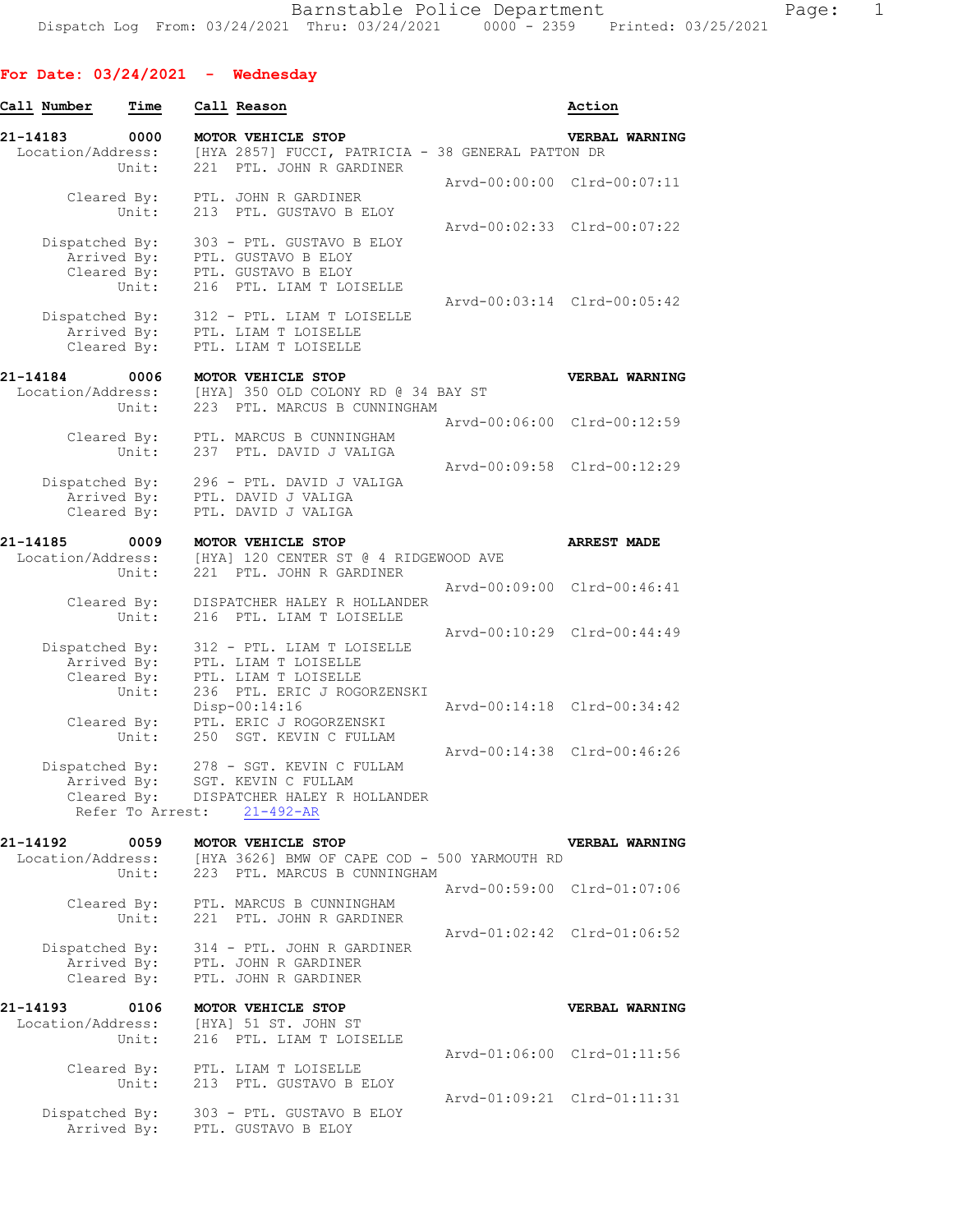## **For Date: 03/24/2021 - Wednesday**

| Call Number                                  | Time                                | Call Reason                                                                                               | Action                                               |
|----------------------------------------------|-------------------------------------|-----------------------------------------------------------------------------------------------------------|------------------------------------------------------|
| 21-14183<br>Location/Address:                | 0000                                | MOTOR VEHICLE STOP<br>[HYA 2857] FUCCI, PATRICIA - 38 GENERAL PATTON DR                                   | <b>VERBAL WARNING</b>                                |
|                                              | Unit:<br>Cleared By:                | 221 PTL. JOHN R GARDINER<br>PTL. JOHN R GARDINER                                                          | Arvd-00:00:00 Clrd-00:07:11                          |
|                                              | Unit:                               | 213 PTL. GUSTAVO B ELOY                                                                                   | Arvd-00:02:33 Clrd-00:07:22                          |
| Dispatched By:                               | Arrived By:<br>Cleared By:<br>Unit: | 303 - PTL. GUSTAVO B ELOY<br>PTL. GUSTAVO B ELOY<br>PTL. GUSTAVO B ELOY<br>216 PTL. LIAM T LOISELLE       | Arvd-00:03:14 Clrd-00:05:42                          |
| Dispatched By:                               | Arrived By:<br>Cleared By:          | 312 - PTL. LIAM T LOISELLE<br>PTL. LIAM T LOISELLE<br>PTL. LIAM T LOISELLE                                |                                                      |
| 21-14184<br>Location/Address:                | 0006<br>Unit:                       | MOTOR VEHICLE STOP<br>[HYA] 350 OLD COLONY RD @ 34 BAY ST<br>223 PTL. MARCUS B CUNNINGHAM                 | <b>VERBAL WARNING</b><br>Arvd-00:06:00 Clrd-00:12:59 |
|                                              | Cleared By:<br>Unit:                | PTL. MARCUS B CUNNINGHAM<br>237 PTL. DAVID J VALIGA                                                       |                                                      |
| Dispatched By:                               | Arrived By:<br>Cleared By:          | 296 - PTL. DAVID J VALIGA<br>PTL. DAVID J VALIGA<br>PTL. DAVID J VALIGA                                   | Arvd-00:09:58 Clrd-00:12:29                          |
| 21-14185<br>Location/Address:                | 0009                                | MOTOR VEHICLE STOP<br>[HYA] 120 CENTER ST @ 4 RIDGEWOOD AVE                                               | <b>ARREST MADE</b>                                   |
|                                              | Unit:                               | 221 PTL. JOHN R GARDINER                                                                                  |                                                      |
|                                              | Cleared By:<br>Unit:                | DISPATCHER HALEY R HOLLANDER<br>216 PTL. LIAM T LOISELLE                                                  | Arvd-00:09:00 Clrd-00:46:41                          |
| Dispatched By:                               | Arrived By:<br>Cleared By:<br>Unit: | 312 - PTL. LIAM T LOISELLE<br>PTL. LIAM T LOISELLE<br>PTL. LIAM T LOISELLE<br>236 PTL. ERIC J ROGORZENSKI | Arvd-00:10:29 Clrd-00:44:49                          |
|                                              | Cleared By:<br>Unit:                | Disp-00:14:16<br>PTL. ERIC J ROGORZENSKI<br>250 SGT. KEVIN C FULLAM                                       | Arvd-00:14:18 Clrd-00:34:42                          |
| Dispatched By:                               | Arrived By:                         | 278 - SGT. KEVIN C FULLAM<br>SGT. KEVIN C FULLAM<br>Cleared By: DISPATCHER HALEY R HOLLANDER              | Arvd-00:14:38 Clrd-00:46:26                          |
|                                              | Refer To Arrest:                    | $21 - 492 - AR$                                                                                           |                                                      |
| 21-14192<br>Location/Address:                | 0059<br>Unit:                       | MOTOR VEHICLE STOP<br>[HYA 3626] BMW OF CAPE COD - 500 YARMOUTH RD<br>223 PTL. MARCUS B CUNNINGHAM        | <b>VERBAL WARNING</b>                                |
|                                              | Unit:                               | Cleared By: PTL. MARCUS B CUNNINGHAM<br>221 PTL. JOHN R GARDINER                                          | Arvd-00:59:00 Clrd-01:07:06                          |
| Dispatched By:<br>Arrived By:<br>Cleared By: |                                     | 314 - PTL. JOHN R GARDINER<br>PTL. JOHN R GARDINER<br>PTL. JOHN R GARDINER                                | Arvd-01:02:42 Clrd-01:06:52                          |
| 21-14193<br>Location/Address:                | 0106                                | MOTOR VEHICLE STOP<br>[HYA] 51 ST. JOHN ST                                                                | VERBAL WARNING                                       |
|                                              | Unit:                               | 216 PTL. LIAM T LOISELLE                                                                                  | Arvd-01:06:00 Clrd-01:11:56                          |
|                                              | Cleared By:<br>Unit:                | PTL. LIAM T LOISELLE<br>213 PTL. GUSTAVO B ELOY                                                           | Arvd-01:09:21 Clrd-01:11:31                          |
| Dispatched By:                               | Arrived By:                         | 303 - PTL. GUSTAVO B ELOY<br>PTL. GUSTAVO B ELOY                                                          |                                                      |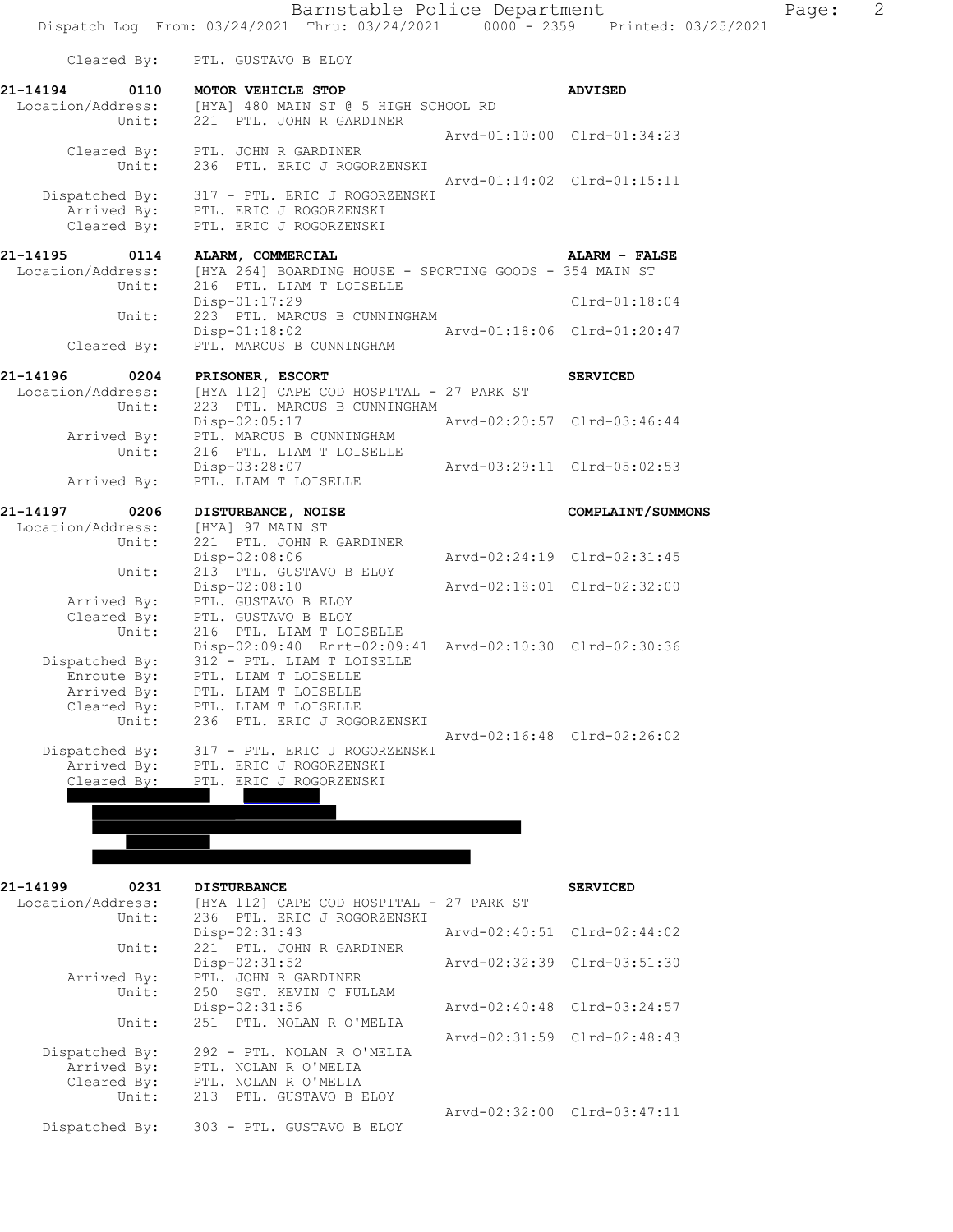|                      | Barnstable Police Department<br>Dispatch Log From: 03/24/2021 Thru: 03/24/2021 0000 - 2359 Printed: 03/25/2021 |                             | $\overline{2}$<br>Page: |
|----------------------|----------------------------------------------------------------------------------------------------------------|-----------------------------|-------------------------|
|                      | Cleared By: PTL. GUSTAVO B ELOY                                                                                |                             |                         |
|                      |                                                                                                                |                             |                         |
| 21-14194             | 0110 MOTOR VEHICLE STOP<br>Location/Address: [HYA] 480 MAIN ST @ 5 HIGH SCHOOL RD                              | <b>ADVISED</b>              |                         |
| Unit:                | 221 PTL. JOHN R GARDINER                                                                                       |                             |                         |
|                      |                                                                                                                | Arvd-01:10:00 Clrd-01:34:23 |                         |
|                      | Cleared By: PTL. JOHN R GARDINER                                                                               |                             |                         |
| Unit:                | 236 PTL. ERIC J ROGORZENSKI                                                                                    |                             |                         |
|                      |                                                                                                                | Arvd-01:14:02 Clrd-01:15:11 |                         |
|                      | Dispatched By: 317 - PTL. ERIC J ROGORZENSKI                                                                   |                             |                         |
| Cleared By:          | Arrived By: PTL. ERIC J ROGORZENSKI<br>PTL. ERIC J ROGORZENSKI                                                 |                             |                         |
|                      |                                                                                                                |                             |                         |
| 21-14195<br>0114     | ALARM, COMMERCIAL                                                                                              | ALARM - FALSE               |                         |
| Location/Address:    | [HYA 264] BOARDING HOUSE - SPORTING GOODS - 354 MAIN ST                                                        |                             |                         |
| Unit:                | 216 PTL. LIAM T LOISELLE                                                                                       |                             |                         |
|                      | $Disp-01:17:29$                                                                                                | $Clrd-01:18:04$             |                         |
| Unit:                | 223 PTL. MARCUS B CUNNINGHAM                                                                                   |                             |                         |
|                      | Disp-01:18:02 Arvd-01:18:06 Clrd-01:20:47                                                                      |                             |                         |
| Cleared By:          | PTL. MARCUS B CUNNINGHAM                                                                                       |                             |                         |
| 21-14196 0204        | PRISONER, ESCORT                                                                                               | <b>SERVICED</b>             |                         |
| Location/Address:    | [HYA 112] CAPE COD HOSPITAL - 27 PARK ST                                                                       |                             |                         |
| Unit:                | 223 PTL. MARCUS B CUNNINGHAM                                                                                   |                             |                         |
|                      | Disp-02:05:17                                                                                                  | Arvd-02:20:57 Clrd-03:46:44 |                         |
| Arrived By:          | PTL. MARCUS B CUNNINGHAM                                                                                       |                             |                         |
| Unit:                | 216 PTL. LIAM T LOISELLE                                                                                       |                             |                         |
|                      | Disp-03:28:07 Arvd-03:29:11 Clrd-05:02:53                                                                      |                             |                         |
| Arrived By:          | PTL. LIAM T LOISELLE                                                                                           |                             |                         |
| 21-14197<br>0206     | DISTURBANCE, NOISE                                                                                             | COMPLAINT/SUMMONS           |                         |
| Location/Address:    | [HYA] 97 MAIN ST                                                                                               |                             |                         |
| Unit:                | 221 PTL. JOHN R GARDINER                                                                                       |                             |                         |
|                      | $Disp-02:08:06$                                                                                                | Arvd-02:24:19 Clrd-02:31:45 |                         |
| Unit:                | 213 PTL. GUSTAVO B ELOY                                                                                        |                             |                         |
|                      | Disp-02:08:10                                                                                                  | Arvd-02:18:01 Clrd-02:32:00 |                         |
| Arrived By:          | PTL. GUSTAVO B ELOY<br>Cleared By: PTL. GUSTAVO B ELOY                                                         |                             |                         |
| Unit:                | 216 PTL. LIAM T LOISELLE                                                                                       |                             |                         |
|                      | Disp-02:09:40 Enrt-02:09:41 Arvd-02:10:30 Clrd-02:30:36                                                        |                             |                         |
|                      | Dispatched By: 312 - PTL. LIAM T LOISELLE                                                                      |                             |                         |
| Enroute By:          | PTL. LIAM T LOISELLE                                                                                           |                             |                         |
| Arrived By:          | PTL. LIAM T LOISELLE                                                                                           |                             |                         |
| Cleared By:<br>Unit: | PTL. LIAM T LOISELLE                                                                                           |                             |                         |
|                      | 236 PTL. ERIC J ROGORZENSKI                                                                                    | Arvd-02:16:48 Clrd-02:26:02 |                         |
| Dispatched By:       | 317 - PTL. ERIC J ROGORZENSKI                                                                                  |                             |                         |
| Arrived By:          | PTL. ERIC J ROGORZENSKI                                                                                        |                             |                         |
| Cleared By:          | PTL. ERIC J ROGORZENSKI                                                                                        |                             |                         |
|                      |                                                                                                                |                             |                         |
|                      |                                                                                                                |                             |                         |
|                      |                                                                                                                |                             |                         |
|                      |                                                                                                                |                             |                         |
|                      |                                                                                                                |                             |                         |
| 21-14199<br>0231     | <b>DISTURBANCE</b>                                                                                             | <b>SERVICED</b>             |                         |
| Location/Address:    | [HYA 112] CAPE COD HOSPITAL - 27 PARK ST                                                                       |                             |                         |
| Unit:                | 236 PTL. ERIC J ROGORZENSKI                                                                                    |                             |                         |
|                      | Disp-02:31:43                                                                                                  | Arvd-02:40:51 Clrd-02:44:02 |                         |
| Unit:                | 221 PTL. JOHN R GARDINER                                                                                       |                             |                         |
| Arrived By:          | Disp-02:31:52<br>PTL. JOHN R GARDINER                                                                          | Arvd-02:32:39 Clrd-03:51:30 |                         |
| Unit:                | 250 SGT. KEVIN C FULLAM                                                                                        |                             |                         |
|                      | Disp-02:31:56                                                                                                  | Arvd-02:40:48 Clrd-03:24:57 |                         |
| Unit:                | 251 PTL. NOLAN R O'MELIA                                                                                       |                             |                         |
|                      |                                                                                                                | Arvd-02:31:59 Clrd-02:48:43 |                         |
|                      | Dispatched By: 292 - PTL, NOLAN R O'MELIA                                                                      |                             |                         |

.<br>Arrived By: PTL. NOLAN R O'MELIA Cleared By: PTL. NOLAN R O'MELIA Unit: 213 PTL. GUSTAVO B ELOY Arvd-02:32:00 Clrd-03:47:11 Dispatched By: 303 - PTL. GUSTAVO B ELOY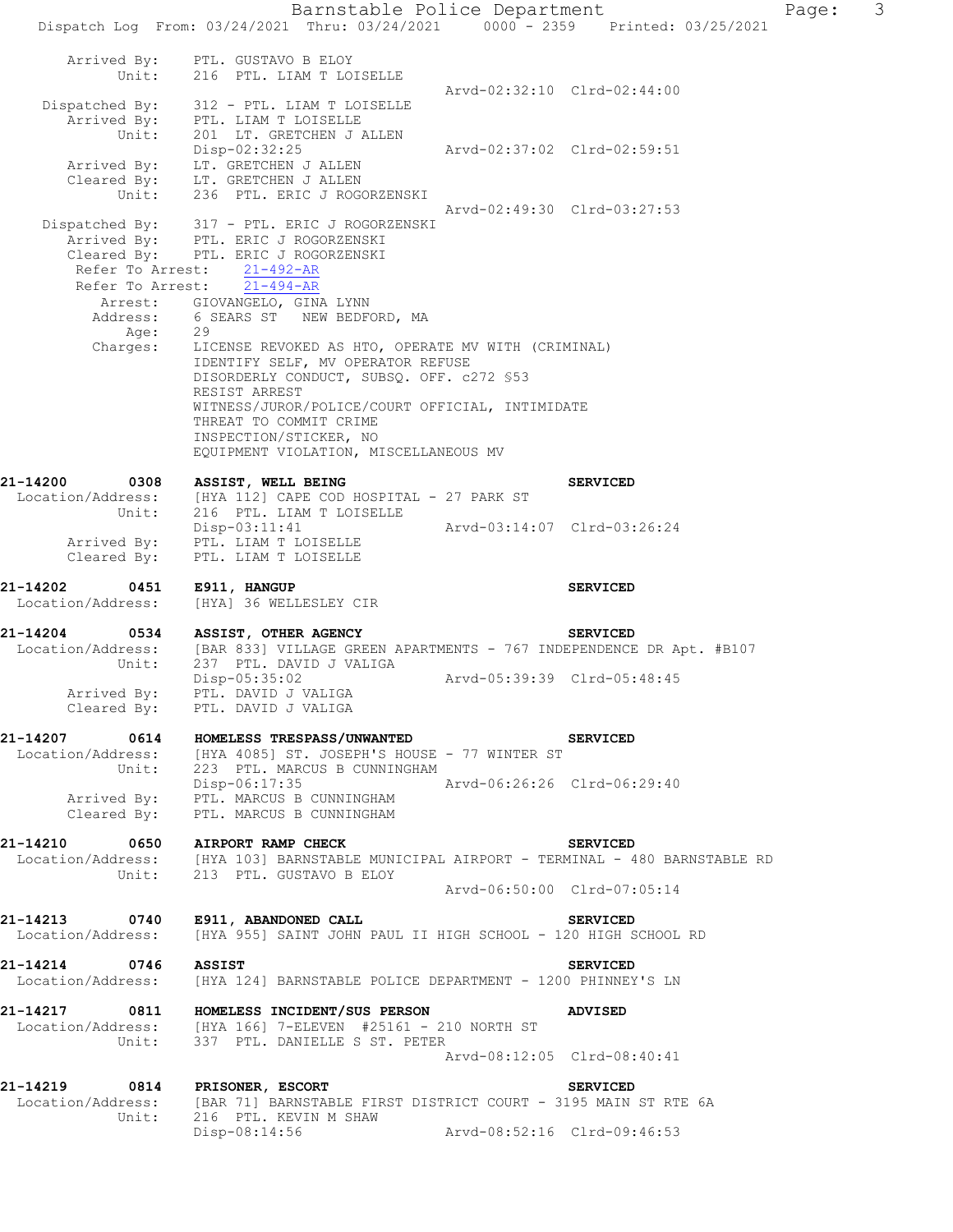Barnstable Police Department Page: 3 Dispatch Log From: 03/24/2021 Thru: 03/24/2021 0000 - 2359 Printed: 03/25/2021 Arrived By: PTL. GUSTAVO B ELOY Unit: 216 PTL. LIAM T LOISELLE Arvd-02:32:10 Clrd-02:44:00 Dispatched By: 312 - PTL. LIAM T LOISELLE .<br>Arrived By: PTL. LIAM T LOISELLE Unit: 201 LT. GRETCHEN J ALLEN Disp-02:32:25 Arvd-02:37:02 Clrd-02:59:51 Arrived By: LT. GRETCHEN J ALLEN Cleared By: LT. GRETCHEN J ALLEN Unit: 236 PTL. ERIC J ROGORZENSKI Arvd-02:49:30 Clrd-03:27:53 Dispatched By: 317 - PTL. ERIC J ROGORZENSKI .<br>Arrived By: PTL. ERIC J ROGORZENSKI Cleared By: PTL. ERIC J ROGORZENSKI Refer To Arrest: 21-492-AR Refer To Arrest: 21-494-AR Arrest: GIOVANGELO, GINA LYNN Address: 6 SEARS ST NEW BEDFORD, MA Age: 29 Charges: LICENSE REVOKED AS HTO, OPERATE MV WITH (CRIMINAL) IDENTIFY SELF, MV OPERATOR REFUSE DISORDERLY CONDUCT, SUBSQ. OFF. c272 §53 RESIST ARREST WITNESS/JUROR/POLICE/COURT OFFICIAL, INTIMIDATE THREAT TO COMMIT CRIME INSPECTION/STICKER, NO EQUIPMENT VIOLATION, MISCELLANEOUS MV 21-14200 0308 ASSIST, WELL BEING **DEEX** SERVICED Location/Address: [HYA 112] CAPE COD HOSPITAL - 27 PARK ST Unit: 216 PTL. LIAM T LOISELLE Disp-03:11:41 Arvd-03:14:07 Clrd-03:26:24 Arrived By: PTL. LIAM T LOISELLE Cleared By: PTL. LIAM T LOISELLE **21-14202 0451 E911, HANGUP SERVICED**  Location/Address: [HYA] 36 WELLESLEY CIR **21-14204 0534 ASSIST, OTHER AGENCY SERVICED**  Location/Address: [BAR 833] VILLAGE GREEN APARTMENTS - 767 INDEPENDENCE DR Apt. #B107 Unit: 237 PTL. DAVID J VALIGA Disp-05:35:02 Arvd-05:39:39 Clrd-05:48:45 Disp-05:35:02<br>Arrived By: PTL. DAVID J VALIGA Cleared By: PTL. DAVID J VALIGA **21-14207 0614 HOMELESS TRESPASS/UNWANTED SERVICED**  Location/Address: [HYA 4085] ST. JOSEPH'S HOUSE - 77 WINTER ST Unit: 223 PTL. MARCUS B CUNNINGHAM Disp-06:17:35 Arvd-06:26:26 Clrd-06:29:40 Arrived By: PTL. MARCUS B CUNNINGHAM Cleared By: PTL. MARCUS B CUNNINGHAM **21-14210 0650 AIRPORT RAMP CHECK SERVICED**  Location/Address: [HYA 103] BARNSTABLE MUNICIPAL AIRPORT - TERMINAL - 480 BARNSTABLE RD Unit: 213 PTL. GUSTAVO B ELOY Arvd-06:50:00 Clrd-07:05:14 **21-14213 0740 E911, ABANDONED CALL SERVICED**  Location/Address: [HYA 955] SAINT JOHN PAUL II HIGH SCHOOL - 120 HIGH SCHOOL RD **21-14214 0746 ASSIST SERVICED**  Location/Address: [HYA 124] BARNSTABLE POLICE DEPARTMENT - 1200 PHINNEY'S LN **21-14217 0811 HOMELESS INCIDENT/SUS PERSON ADVISED**  Location/Address: [HYA 166] 7-ELEVEN #25161 - 210 NORTH ST Unit: 337 PTL. DANIELLE S ST. PETER Arvd-08:12:05 Clrd-08:40:41 **21-14219 0814 PRISONER, ESCORT SERVICED**  Location/Address: [BAR 71] BARNSTABLE FIRST DISTRICT COURT - 3195 MAIN ST RTE 6A<br>Unit: 216 PTL. KEVIN M SHAW 216 PTL. KEVIN M SHAW Disp-08:14:56 Arvd-08:52:16 Clrd-09:46:53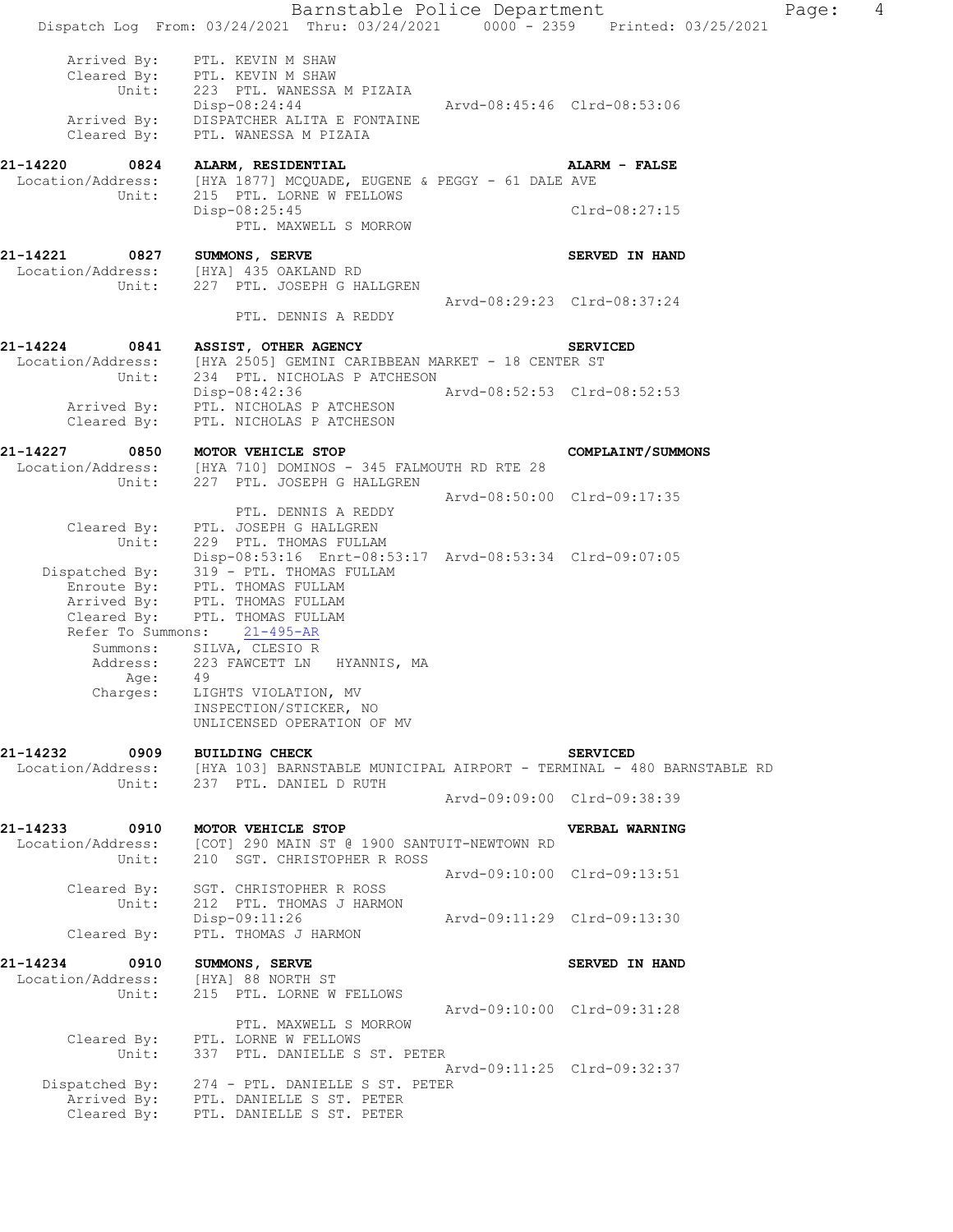|                                                            | Barnstable Police Department<br>Dispatch Log From: 03/24/2021 Thru: 03/24/2021 0000 - 2359 Printed: 03/25/2021                                                                                                                                                                                                   |                             |                                               | Page: | $\overline{4}$ |
|------------------------------------------------------------|------------------------------------------------------------------------------------------------------------------------------------------------------------------------------------------------------------------------------------------------------------------------------------------------------------------|-----------------------------|-----------------------------------------------|-------|----------------|
|                                                            | Arrived By: PTL. KEVIN M SHAW<br>Cleared By: PTL. KEVIN M SHAW<br>Unit: 223 PTL. WANESSA M PIZAIA<br>Disp-08:24:44<br>Arrived By: DISPATCHER ALITA E FONTAINE<br>Cleared By: PTL. WANESSA M PIZAIA                                                                                                               | Arvd-08:45:46 Clrd-08:53:06 |                                               |       |                |
| 21-14220<br>Unit:                                          | 0824 ALARM, RESIDENTIAL<br>Location/Address: [HYA 1877] MCQUADE, EUGENE & PEGGY - 61 DALE AVE<br>215 PTL. LORNE W FELLOWS<br>Disp-08:25:45<br>PTL. MAXWELL S MORROW                                                                                                                                              |                             | ALARM - FALSE<br>Clrd-08:27:15                |       |                |
| 21-14221 0827 SUMMONS, SERVE                               | Location/Address: [HYA] 435 OAKLAND RD<br>Unit: 227 PTL. JOSEPH G HALLGREN                                                                                                                                                                                                                                       |                             | <b>SERVED IN HAND</b>                         |       |                |
|                                                            | PTL. DENNIS A REDDY                                                                                                                                                                                                                                                                                              |                             | Arvd-08:29:23 Clrd-08:37:24                   |       |                |
| 21-14224<br>Location/Address:<br>Unit:                     | 0841 ASSIST, OTHER AGENCY<br>[HYA 2505] GEMINI CARIBBEAN MARKET - 18 CENTER ST<br>234 PTL. NICHOLAS P ATCHESON                                                                                                                                                                                                   |                             | <b>SERVICED</b>                               |       |                |
|                                                            | Disp-08:42:36 Arvd-08:52:53 Clrd-08:52:53<br>Arrived By: PTL. NICHOLAS P ATCHESON<br>Cleared By: PTL. NICHOLAS P ATCHESON                                                                                                                                                                                        |                             |                                               |       |                |
| 21-14227<br>Unit:                                          | 0850 MOTOR VEHICLE STOP<br>Location/Address: [HYA 710] DOMINOS - 345 FALMOUTH RD RTE 28<br>227 PTL. JOSEPH G HALLGREN                                                                                                                                                                                            |                             | COMPLAINT/SUMMONS                             |       |                |
|                                                            | PTL. DENNIS A REDDY<br>Cleared By: PTL. JOSEPH G HALLGREN<br>Unit: 229 PTL. THOMAS FULLAM                                                                                                                                                                                                                        |                             | Arvd-08:50:00 Clrd-09:17:35                   |       |                |
| Age:                                                       | Disp-08:53:16 Enrt-08:53:17 Arvd-08:53:34 Clrd-09:07:05<br>Dispatched By: 319 - PTL. THOMAS FULLAM<br>Enroute By: PTL. THOMAS FULLAM<br>Arrived By: PTL. THOMAS FULLAM<br>Cleared By: PTL. THOMAS FULLAM<br>Refer To Summons: 21-495-AR<br>Summons: SILVA, CLESIO R<br>Address: 223 FAWCETT LN HYANNIS, MA<br>49 |                             |                                               |       |                |
|                                                            | Charges: LIGHTS VIOLATION, MV<br>INSPECTION/STICKER, NO<br>UNLICENSED OPERATION OF MV                                                                                                                                                                                                                            |                             |                                               |       |                |
| 21-14232 0909 BUILDING CHECK                               | Location/Address: [HYA 103] BARNSTABLE MUNICIPAL AIRPORT - TERMINAL - 480 BARNSTABLE RD<br>Unit: 237 PTL. DANIEL D RUTH                                                                                                                                                                                          |                             | <b>SERVICED</b>                               |       |                |
|                                                            |                                                                                                                                                                                                                                                                                                                  |                             | Arvd-09:09:00 Clrd-09:38:39                   |       |                |
| 21-14233<br>Unit:                                          | 0910 MOTOR VEHICLE STOP<br>Location/Address: [COT] 290 MAIN ST @ 1900 SANTUIT-NEWTOWN RD<br>210 SGT. CHRISTOPHER R ROSS                                                                                                                                                                                          |                             | <b>VERBAL WARNING</b>                         |       |                |
| Unit:                                                      | Cleared By: SGT. CHRISTOPHER R ROSS<br>212 PTL. THOMAS J HARMON                                                                                                                                                                                                                                                  |                             | Arvd-09:10:00 Clrd-09:13:51                   |       |                |
| Cleared By:                                                | Disp-09:11:26<br>PTL. THOMAS J HARMON                                                                                                                                                                                                                                                                            | Arvd-09:11:29 Clrd-09:13:30 |                                               |       |                |
| 21-14234 0910 SUMMONS, SERVE<br>Location/Address:<br>Unit: | [HYA] 88 NORTH ST<br>215 PTL. LORNE W FELLOWS                                                                                                                                                                                                                                                                    |                             | SERVED IN HAND<br>Arvd-09:10:00 Clrd-09:31:28 |       |                |
| Unit:                                                      | PTL. MAXWELL S MORROW<br>Cleared By: PTL. LORNE W FELLOWS<br>337 PTL. DANIELLE S ST. PETER                                                                                                                                                                                                                       |                             |                                               |       |                |
|                                                            | Dispatched By: 274 - PTL. DANIELLE S ST. PETER                                                                                                                                                                                                                                                                   |                             | Arvd-09:11:25 Clrd-09:32:37                   |       |                |
|                                                            | Arrived By: PTL. DANIELLE S ST. PETER<br>Cleared By: PTL. DANIELLE S ST. PETER                                                                                                                                                                                                                                   |                             |                                               |       |                |
|                                                            |                                                                                                                                                                                                                                                                                                                  |                             |                                               |       |                |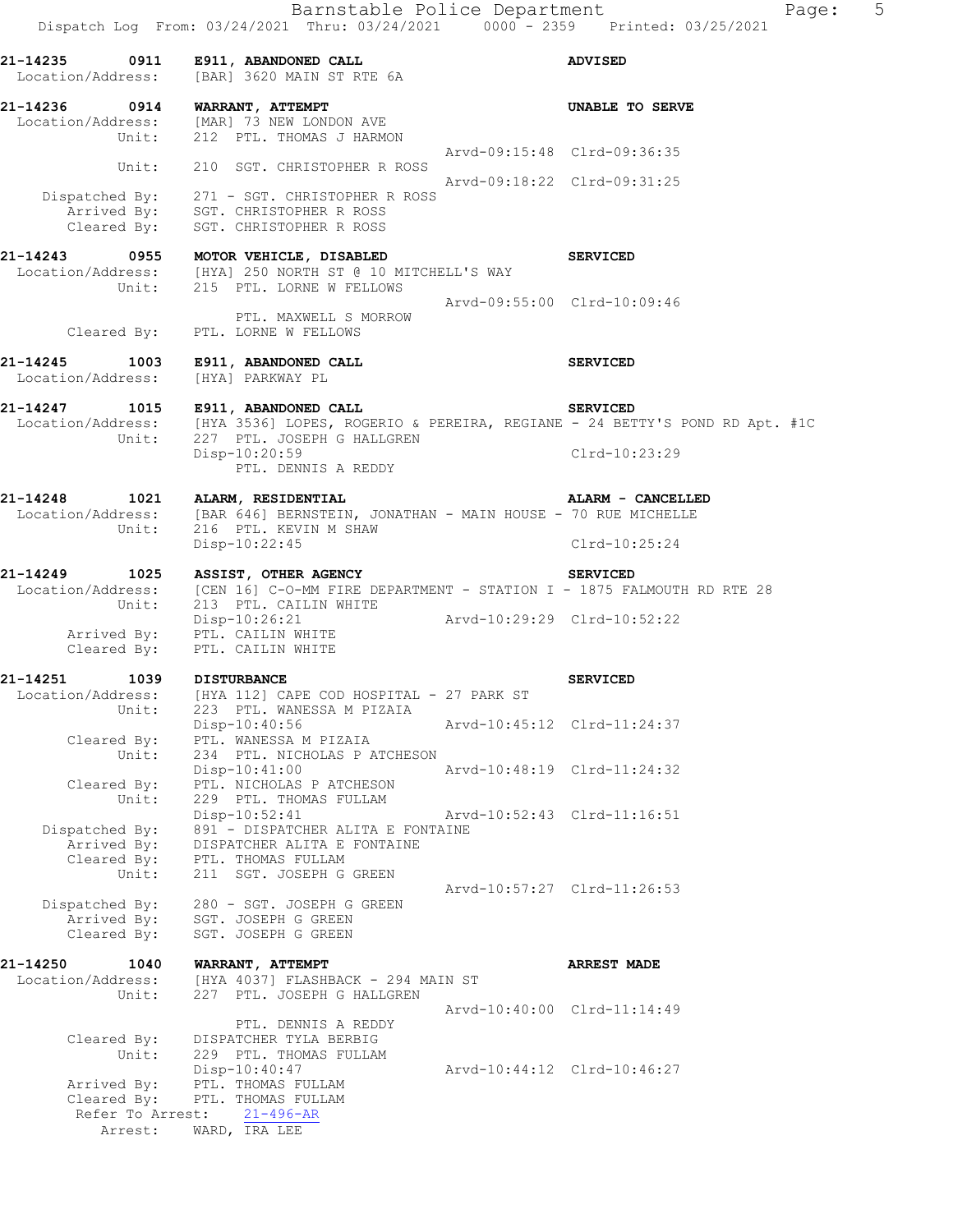|                                              | 21-14235 0911 E911, ABANDONED CALL<br>Location/Address: [BAR] 3620 MAIN ST RTE 6A                                                                            |                             | <b>ADVISED</b>              |
|----------------------------------------------|--------------------------------------------------------------------------------------------------------------------------------------------------------------|-----------------------------|-----------------------------|
| 21-14236 0914 WARRANT, ATTEMPT               | Location/Address: [MAR] 73 NEW LONDON AVE<br>Unit: 212 PTL. THOMAS J HARMON                                                                                  |                             | <b>UNABLE TO SERVE</b>      |
|                                              |                                                                                                                                                              | Arvd-09:15:48 Clrd-09:36:35 |                             |
| Unit:                                        | 210 SGT. CHRISTOPHER R ROSS                                                                                                                                  |                             | Arvd-09:18:22 Clrd-09:31:25 |
|                                              | Dispatched By: 271 - SGT. CHRISTOPHER R ROSS<br>Arrived By: SGT. CHRISTOPHER R ROSS<br>Cleared By: SGT. CHRISTOPHER R ROSS                                   |                             |                             |
|                                              | 21-14243 0955 MOTOR VEHICLE, DISABLED<br>Location/Address: [HYA] 250 NORTH ST @ 10 MITCHELL'S WAY<br>Unit: 215 PTL. LORNE W FELLOWS                          |                             | <b>SERVICED</b>             |
|                                              | PTL. MAXWELL S MORROW<br>Cleared By: PTL. LORNE W FELLOWS                                                                                                    | Arvd-09:55:00 Clrd-10:09:46 |                             |
| Location/Address: [HYA] PARKWAY PL           | 21-14245 1003 E911, ABANDONED CALL                                                                                                                           |                             | <b>SERVICED</b>             |
|                                              | 21-14247 1015 E911, ABANDONED CALL<br>Location/Address: [HYA 3536] LOPES, ROGERIO & PEREIRA, REGIANE - 24 BETTY'S POND RD Apt. #1C                           |                             | <b>SERVICED</b>             |
|                                              | Unit: 227 PTL. JOSEPH G HALLGREN<br>Disp-10:20:59<br>PTL. DENNIS A REDDY                                                                                     |                             | $C1rd-10:23:29$             |
|                                              | 21-14248 1021 ALARM, RESIDENTIAL                                                                                                                             |                             | ALARM - CANCELLED           |
|                                              | Location/Address: [BAR 646] BERNSTEIN, JONATHAN - MAIN HOUSE - 70 RUE MICHELLE<br>Unit: 216 PTL. KEVIN M SHAW<br>Disp-10:22:45                               |                             | Clrd-10:25:24               |
|                                              | 21-14249 1025 ASSIST, OTHER AGENCY<br>Location/Address: [CEN 16] C-O-MM FIRE DEPARTMENT - STATION I - 1875 FALMOUTH RD RTE 28<br>Unit: 213 PTL. CAILIN WHITE | <b>SERVICED</b>             |                             |
|                                              | Disp-10:26:21<br>Arrived By: PTL. CAILIN WHITE<br>Cleared By: PTL. CAILIN WHITE                                                                              | Arvd-10:29:29 Clrd-10:52:22 |                             |
| 21-14251 1039 DISTURBANCE                    |                                                                                                                                                              |                             | <b>SERVICED</b>             |
|                                              | Location/Address: [HYA 112] CAPE COD HOSPITAL - 27 PARK ST<br>Unit: 223 PTL. WANESSA M PIZAIA                                                                |                             |                             |
| Cleared By:<br>Unit:                         | Disp-10:40:56<br>PTL. WANESSA M PIZAIA<br>234 PTL. NICHOLAS P ATCHESON                                                                                       | Arvd-10:45:12 Clrd-11:24:37 |                             |
| Cleared By:                                  | $Disp-10:41:00$<br>PTL. NICHOLAS P ATCHESON                                                                                                                  |                             | Arvd-10:48:19 Clrd-11:24:32 |
| Unit:                                        | 229 PTL. THOMAS FULLAM<br>Disp-10:52:41                                                                                                                      |                             | Arvd-10:52:43 Clrd-11:16:51 |
| Dispatched By:<br>Arrived By:<br>Cleared By: | 891 - DISPATCHER ALITA E FONTAINE<br>DISPATCHER ALITA E FONTAINE<br>PTL. THOMAS FULLAM                                                                       |                             |                             |
| Unit:                                        | 211 SGT. JOSEPH G GREEN                                                                                                                                      |                             | Arvd-10:57:27 Clrd-11:26:53 |
| Dispatched By:<br>Arrived By:<br>Cleared By: | 280 - SGT. JOSEPH G GREEN<br>SGT. JOSEPH G GREEN<br>SGT. JOSEPH G GREEN                                                                                      |                             |                             |
| 21-14250<br>1040                             | WARRANT, ATTEMPT                                                                                                                                             |                             | <b>ARREST MADE</b>          |
| Location/Address:<br>Unit:                   | [HYA 4037] FLASHBACK - 294 MAIN ST<br>227 PTL. JOSEPH G HALLGREN                                                                                             |                             | Arvd-10:40:00 Clrd-11:14:49 |
| Cleared By:<br>Unit:                         | PTL. DENNIS A REDDY<br>DISPATCHER TYLA BERBIG<br>229 PTL. THOMAS FULLAM                                                                                      |                             |                             |
| Arrived By:<br>Cleared By:                   | Disp-10:40:47<br>PTL. THOMAS FULLAM<br>PTL. THOMAS FULLAM                                                                                                    |                             | Arvd-10:44:12 Clrd-10:46:27 |
| Refer To Arrest:<br>Arrest:                  | $21 - 496 - AR$<br>WARD, IRA LEE                                                                                                                             |                             |                             |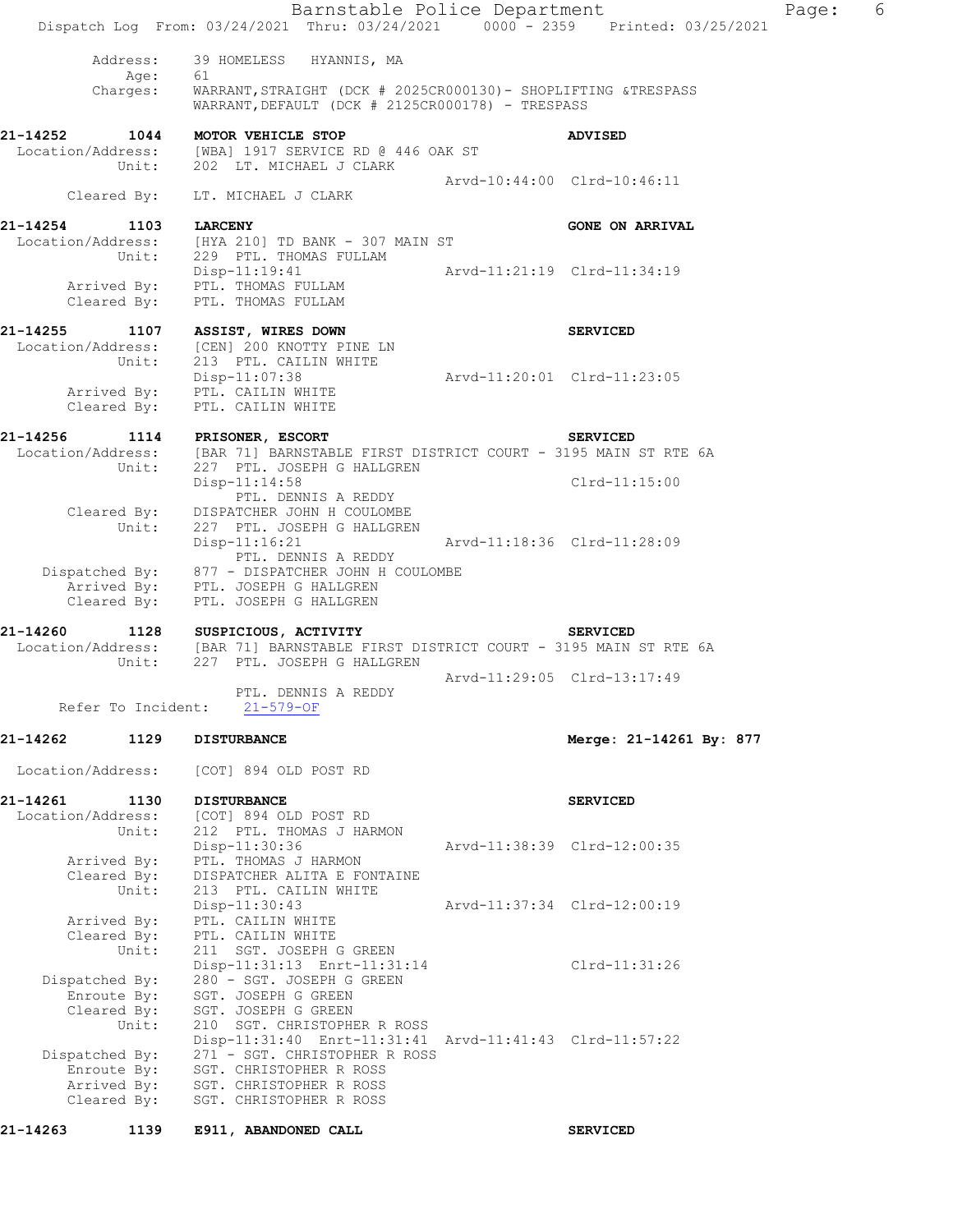| Dispatched By:                | Enroute By:<br>Arrived By:<br>Cleared By: | 271 - SGT. CHRISTOPHER R ROSS<br>SGT. CHRISTOPHER R ROSS<br>SGT. CHRISTOPHER R ROSS<br>SGT. CHRISTOPHER R ROSS       |                             |                             |  |
|-------------------------------|-------------------------------------------|----------------------------------------------------------------------------------------------------------------------|-----------------------------|-----------------------------|--|
|                               | Unit:                                     | 210 SGT. CHRISTOPHER R ROSS<br>Disp-11:31:40 Enrt-11:31:41 Arvd-11:41:43 Clrd-11:57:22                               |                             |                             |  |
| Dispatched By:                | Enroute By:<br>Cleared By:                | 280 - SGT. JOSEPH G GREEN<br>SGT. JOSEPH G GREEN<br>SGT. JOSEPH G GREEN                                              |                             |                             |  |
|                               | Unit:                                     | 211 SGT. JOSEPH G GREEN<br>Disp-11:31:13 Enrt-11:31:14                                                               |                             | Clrd-11:31:26               |  |
|                               | Arrived By:<br>Cleared By:                | PTL. CAILIN WHITE<br>PTL. CAILIN WHITE                                                                               |                             |                             |  |
|                               | Cleared By:<br>Unit:                      | DISPATCHER ALITA E FONTAINE<br>213 PTL. CAILIN WHITE<br>$Disp-11:30:43$                                              |                             | Arvd-11:37:34 Clrd-12:00:19 |  |
|                               | Arrived By:                               | Disp-11:30:36<br>PTL. THOMAS J HARMON                                                                                |                             | Arvd-11:38:39 Clrd-12:00:35 |  |
| Location/Address:             | Unit:                                     | [COT] 894 OLD POST RD<br>212 PTL. THOMAS J HARMON                                                                    |                             |                             |  |
| 21-14261                      | 1130                                      | [COT] 894 OLD POST RD<br><b>DISTURBANCE</b>                                                                          |                             | <b>SERVICED</b>             |  |
| 21-14262<br>Location/Address: | 1129                                      | <b>DISTURBANCE</b>                                                                                                   |                             | Merge: 21-14261 By: 877     |  |
|                               | Refer To Incident:                        | $21 - 579 - OF$                                                                                                      |                             |                             |  |
|                               |                                           | PTL. DENNIS A REDDY                                                                                                  |                             | Arvd-11:29:05 Clrd-13:17:49 |  |
|                               | Unit:                                     | Location/Address: [BAR 71] BARNSTABLE FIRST DISTRICT COURT - 3195 MAIN ST RTE 6A<br>227 PTL. JOSEPH G HALLGREN       |                             |                             |  |
| 21-14260                      | 1128                                      | SUSPICIOUS, ACTIVITY                                                                                                 |                             | <b>SERVICED</b>             |  |
|                               | Cleared By:                               | Arrived By: PTL. JOSEPH G HALLGREN<br>PTL. JOSEPH G HALLGREN                                                         |                             |                             |  |
|                               |                                           | $Disp-11:16:21$<br>PTL. DENNIS A REDDY<br>Dispatched By: 877 - DISPATCHER JOHN H COULOMBE                            |                             | Arvd-11:18:36 Clrd-11:28:09 |  |
|                               | Cleared By:<br>Unit:                      | DISPATCHER JOHN H COULOMBE<br>227 PTL. JOSEPH G HALLGREN                                                             |                             |                             |  |
|                               |                                           | $Disp-11:14:58$<br>PTL. DENNIS A REDDY                                                                               |                             | Clrd-11:15:00               |  |
|                               |                                           | Location/Address: [BAR 71] BARNSTABLE FIRST DISTRICT COURT - 3195 MAIN ST RTE 6A<br>Unit: 227 PTL. JOSEPH G HALLGREN |                             |                             |  |
|                               |                                           | 21-14256 1114 PRISONER, ESCORT                                                                                       |                             | <b>SERVICED</b>             |  |
|                               | Cleared By:                               | Disp-11:07:38<br>Arrived By: PTL. CAILIN WHITE<br>PTL. CAILIN WHITE                                                  |                             |                             |  |
| Location/Address:             | Unit:                                     | [CEN] 200 KNOTTY PINE LN<br>213 PTL. CAILIN WHITE                                                                    | Arvd-11:20:01 Clrd-11:23:05 |                             |  |
| 21-14255                      | 1107                                      | ASSIST, WIRES DOWN                                                                                                   |                             | <b>SERVICED</b>             |  |
|                               |                                           | $Disp-11:19:41$<br>Arrived By: PTL. THOMAS FULLAM<br>Cleared By: PTL. THOMAS FULLAM                                  |                             |                             |  |
|                               |                                           | Location/Address: [HYA 210] TD BANK - 307 MAIN ST<br>Unit: 229 PTL. THOMAS FULLAM                                    |                             |                             |  |
| 21-14254                      |                                           | 1103 LARCENY                                                                                                         |                             | <b>GONE ON ARRIVAL</b>      |  |
|                               | Cleared By:                               | LT. MICHAEL J CLARK                                                                                                  |                             | Arvd-10:44:00 Clrd-10:46:11 |  |
| 21-14252                      | 1044<br>Unit:                             | MOTOR VEHICLE STOP<br>Location/Address: [WBA] 1917 SERVICE RD @ 446 OAK ST<br>202 LT. MICHAEL J CLARK                |                             | <b>ADVISED</b>              |  |
|                               |                                           | WARRANT, DEFAULT (DCK # 2125CR000178) - TRESPASS                                                                     |                             |                             |  |
|                               | Age: 61<br>Charges:                       | WARRANT, STRAIGHT (DCK # 2025CR000130) - SHOPLIFTING &TRESPASS                                                       |                             |                             |  |
|                               | Address:                                  | 39 HOMELESS HYANNIS, MA                                                                                              |                             |                             |  |
|                               |                                           | Dispatch Log From: 03/24/2021 Thru: 03/24/2021 0000 - 2359 Printed: 03/25/2021                                       |                             |                             |  |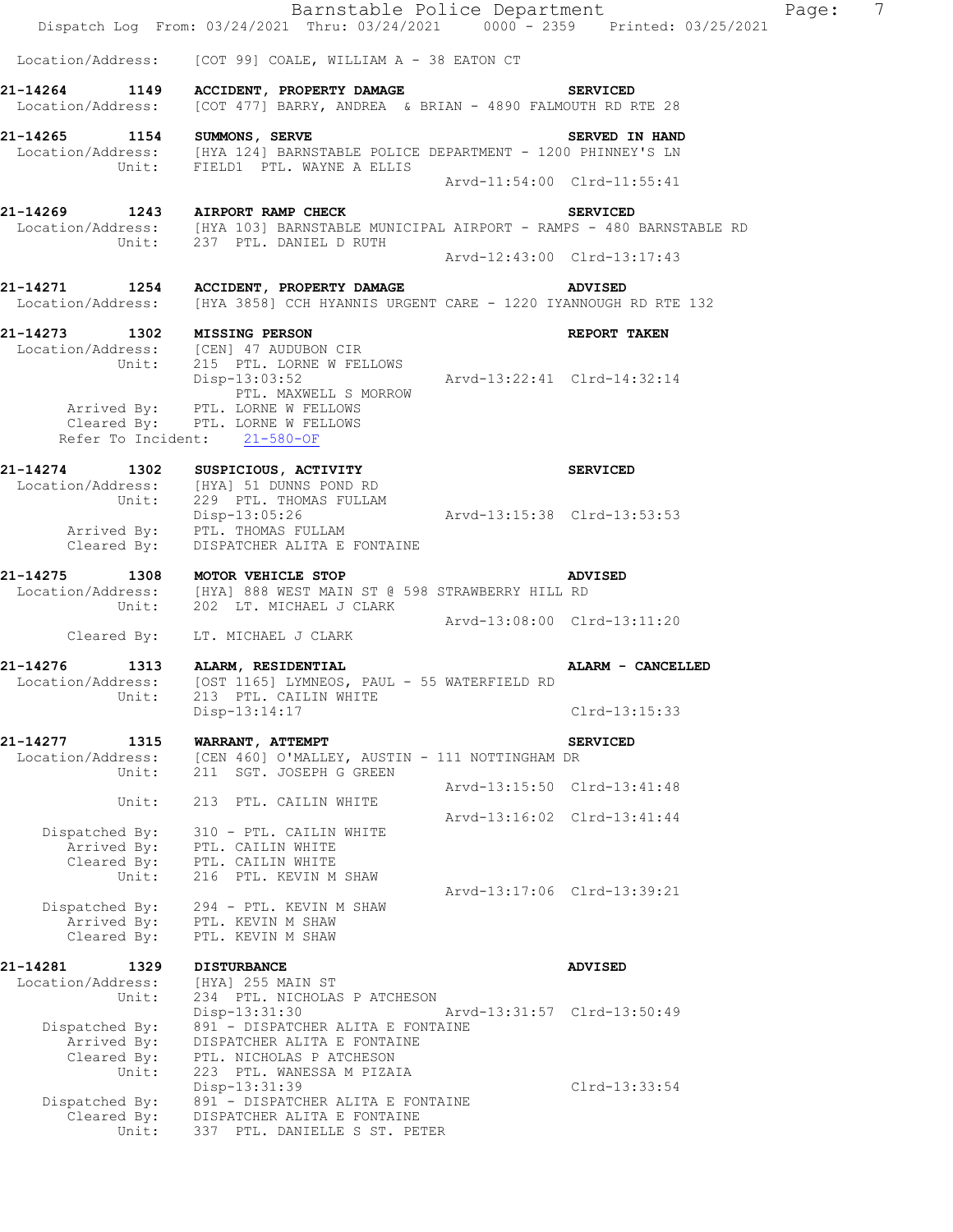|                                       | Dispatch Log From: 03/24/2021 Thru: 03/24/2021 0000 - 2359 Printed: 03/25/2021                                                                           |                             | Barnocabre rorroc Boparement | $-22$ |
|---------------------------------------|----------------------------------------------------------------------------------------------------------------------------------------------------------|-----------------------------|------------------------------|-------|
|                                       | Location/Address: [COT 99] COALE, WILLIAM A - 38 EATON CT                                                                                                |                             |                              |       |
|                                       | 21-14264 1149 ACCIDENT, PROPERTY DAMAGE SERVICED                                                                                                         |                             |                              |       |
|                                       | Location/Address: [COT 477] BARRY, ANDREA & BRIAN - 4890 FALMOUTH RD RTE 28                                                                              |                             |                              |       |
|                                       | 21-14265 1154 SUMMONS, SERVE<br>Location/Address: [HYA 124] BARNSTABLE POLICE DEPARTMENT - 1200 PHINNEY'S LN<br>Unit: FIELD1 PTL. WAYNE A ELLIS          |                             | SERVED IN HAND               |       |
|                                       |                                                                                                                                                          | Arvd-11:54:00 Clrd-11:55:41 |                              |       |
|                                       |                                                                                                                                                          |                             |                              |       |
|                                       | 21-14269 1243 AIRPORT RAMP CHECK<br>Location/Address: [HYA 103] BARNSTABLE MUNICIPAL AIRPORT - RAMPS - 480 BARNSTABLE RD<br>Unit: 237 PTL. DANIEL D RUTH |                             |                              |       |
|                                       |                                                                                                                                                          | Arvd-12:43:00 Clrd-13:17:43 |                              |       |
|                                       | 21-14271 1254 ACCIDENT, PROPERTY DAMAGE<br>Location/Address: [HYA 3858] CCH HYANNIS URGENT CARE - 1220 IYANNOUGH RD RTE 132                              |                             | <b>ADVISED</b>               |       |
|                                       | 21-14273 1302 MISSING PERSON<br>Location/Address: [CEN] 47 AUDUBON CIR<br>Unit: 215 PTL. LORNE W FELLOWS                                                 |                             | REPORT TAKEN                 |       |
|                                       |                                                                                                                                                          |                             |                              |       |
|                                       | Disp-13:03:52                                                                                                                                            | Arvd-13:22:41 Clrd-14:32:14 |                              |       |
|                                       | PTL. MAXWELL S MORROW                                                                                                                                    |                             |                              |       |
|                                       | Arrived By: PTL. LORNE W FELLOWS<br>Cleared By: PTL. LORNE W FELLOWS                                                                                     |                             |                              |       |
|                                       | Refer To Incident: 21-580-OF                                                                                                                             |                             |                              |       |
|                                       | 21-14274 1302 SUSPICIOUS, ACTIVITY                                                                                                                       |                             | <b>SERVICED</b>              |       |
|                                       | Location/Address: [HYA] 51 DUNNS POND RD                                                                                                                 |                             |                              |       |
|                                       | Unit: 229 PTL. THOMAS FULLAM<br>Disp-13:05:26                                                                                                            | Arvd-13:15:38 Clrd-13:53:53 |                              |       |
|                                       | Arrived By: PTL. THOMAS FULLAM<br>Cleared By: DISPATCHER ALITA E FONTAINE                                                                                |                             |                              |       |
|                                       | 21-14275 1308 MOTOR VEHICLE STOP ADV<br>Location/Address: [HYA] 888 WEST MAIN ST @ 598 STRAWBERRY HILL RD<br>Unit: 202 LT. MICHAEL J CLARK               |                             | <b>ADVISED</b>               |       |
|                                       |                                                                                                                                                          |                             |                              |       |
|                                       | Cleared By: LT. MICHAEL J CLARK                                                                                                                          | Arvd-13:08:00 Clrd-13:11:20 |                              |       |
| 21-14276 1313 ALARM, RESIDENTIAL      |                                                                                                                                                          |                             | ALARM - CANCELLED            |       |
|                                       | Location/Address: [OST 1165] LYMNEOS, PAUL - 55 WATERFIELD RD                                                                                            |                             |                              |       |
| Unit:                                 | 213 PTL. CAILIN WHITE<br>Disp-13:14:17                                                                                                                   |                             | $Clrd-13:15:33$              |       |
|                                       |                                                                                                                                                          |                             |                              |       |
| 21-14277<br>1315<br>Location/Address: | WARRANT, ATTEMPT<br>[CEN 460] O'MALLEY, AUSTIN - 111 NOTTINGHAM DR                                                                                       |                             | <b>SERVICED</b>              |       |
| Unit:                                 | 211 SGT. JOSEPH G GREEN                                                                                                                                  |                             |                              |       |
| Unit:                                 | 213 PTL. CAILIN WHITE                                                                                                                                    |                             | Arvd-13:15:50 Clrd-13:41:48  |       |
|                                       |                                                                                                                                                          |                             | Arvd-13:16:02 Clrd-13:41:44  |       |
| Dispatched By:                        | 310 - PTL. CAILIN WHITE                                                                                                                                  |                             |                              |       |
|                                       | Arrived By: PTL. CAILIN WHITE<br>Cleared By: PTL. CAILIN WHITE                                                                                           |                             |                              |       |
| Unit:                                 | 216 PTL. KEVIN M SHAW                                                                                                                                    |                             |                              |       |
|                                       | Dispatched By: 294 - PTL. KEVIN M SHAW                                                                                                                   |                             | Arvd-13:17:06 Clrd-13:39:21  |       |
|                                       | Arrived By: PTL. KEVIN M SHAW                                                                                                                            |                             |                              |       |
| Cleared By:                           | PTL. KEVIN M SHAW                                                                                                                                        |                             |                              |       |
| 21-14281<br>1329                      | <b>DISTURBANCE</b>                                                                                                                                       |                             | <b>ADVISED</b>               |       |
| Location/Address:<br>Unit:            | [HYA] 255 MAIN ST<br>234 PTL. NICHOLAS P ATCHESON                                                                                                        |                             |                              |       |
|                                       | Disp-13:31:30                                                                                                                                            | Arvd-13:31:57 Clrd-13:50:49 |                              |       |
| Dispatched By:<br>Arrived By:         | 891 - DISPATCHER ALITA E FONTAINE                                                                                                                        |                             |                              |       |
| Cleared By:                           | DISPATCHER ALITA E FONTAINE<br>PTL. NICHOLAS P ATCHESON                                                                                                  |                             |                              |       |
| Unit:                                 | 223 PTL. WANESSA M PIZAIA                                                                                                                                |                             |                              |       |
| Dispatched By:                        | Disp-13:31:39<br>891 - DISPATCHER ALITA E FONTAINE                                                                                                       |                             | $Clrd-13:33:54$              |       |
| Cleared By:                           | DISPATCHER ALITA E FONTAINE                                                                                                                              |                             |                              |       |
| Unit:                                 | 337 PTL. DANIELLE S ST. PETER                                                                                                                            |                             |                              |       |
|                                       |                                                                                                                                                          |                             |                              |       |

Barnstable Police Department Page: 7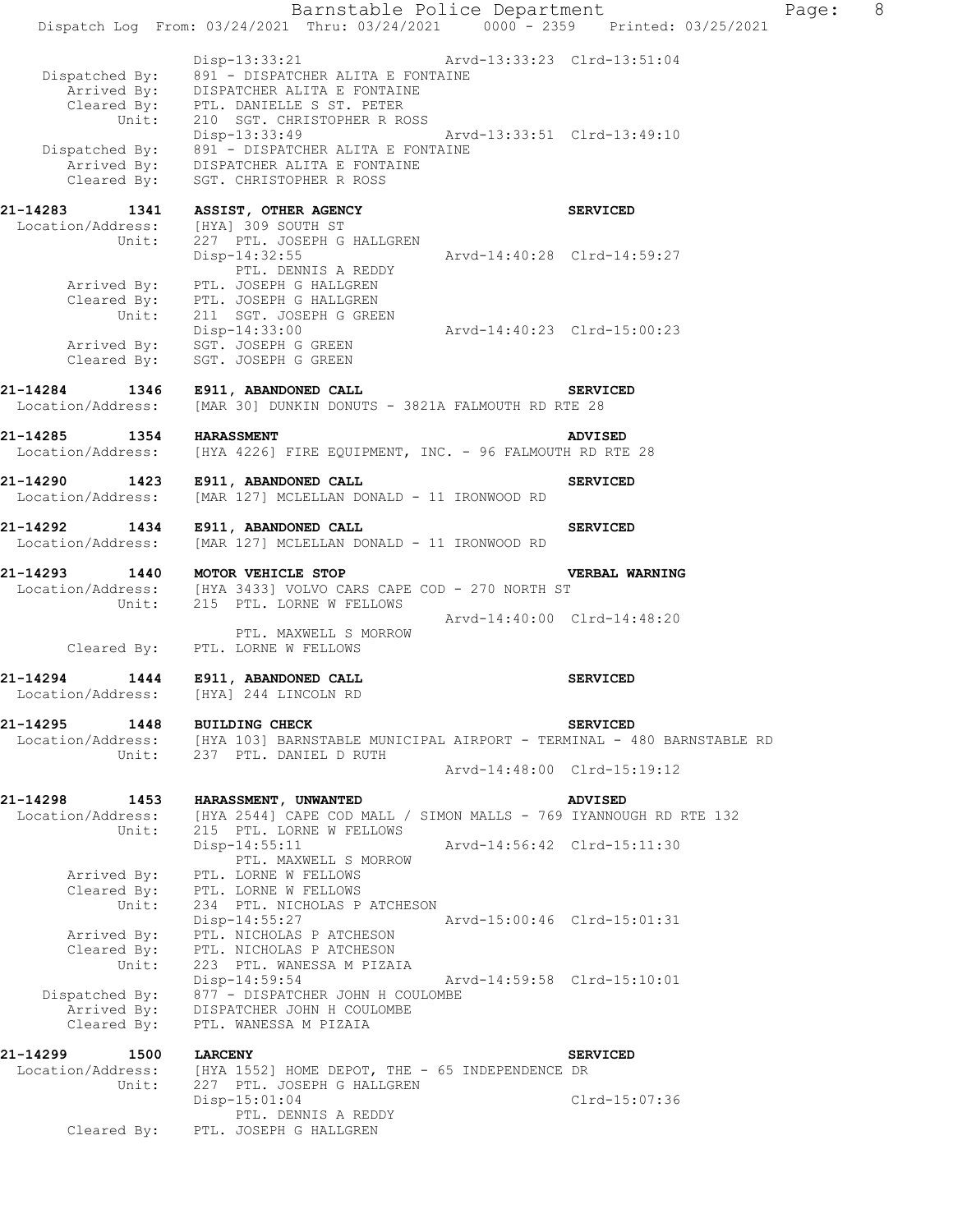Barnstable Police Department Page: 8 Dispatch Log From: 03/24/2021 Thru: 03/24/2021 0000 - 2359 Printed: 03/25/2021 Disp-13:33:21 Arvd-13:33:23 Clrd-13:51:04 Dispatched By: 891 - DISPATCHER ALITA E FONTAINE Arrived By: DISPATCHER ALITA E FONTAINE Cleared By: PTL. DANIELLE S ST. PETER Unit: 210 SGT. CHRISTOPHER R ROSS Disp-13:33:49 Arvd-13:33:51 Clrd-13:49:10 Dispatched By: 891 - DISPATCHER ALITA E FONTAINE Arrived By: DISPATCHER ALITA E FONTAINE Cleared By: SGT. CHRISTOPHER R ROSS **21-14283 1341 ASSIST, OTHER AGENCY SERVICED**  Location/Address: [HYA] 309 SOUTH ST Unit: 227 PTL. JOSEPH G HALLGREN Disp-14:32:55 Arvd-14:40:28 Clrd-14:59:27 PTL. DENNIS A REDDY Arrived By: PTL. JOSEPH G HALLGREN Cleared By: PTL. JOSEPH G HALLGREN Unit: 211 SGT. JOSEPH G GREEN Disp-14:33:00 Arvd-14:40:23 Clrd-15:00:23 Arrived By: SGT. JOSEPH G GREEN Cleared By: SGT. JOSEPH G GREEN **21-14284 1346 E911, ABANDONED CALL SERVICED**  Location/Address: [MAR 30] DUNKIN DONUTS - 3821A FALMOUTH RD RTE 28 **21-14285 1354 HARASSMENT ADVISED**  Location/Address: [HYA 4226] FIRE EQUIPMENT, INC. - 96 FALMOUTH RD RTE 28 **21-14290 1423 E911, ABANDONED CALL SERVICED**  Location/Address: [MAR 127] MCLELLAN DONALD - 11 IRONWOOD RD **21-14292 1434 E911, ABANDONED CALL SERVICED**  Location/Address: [MAR 127] MCLELLAN DONALD - 11 IRONWOOD RD **21-14293 1440 MOTOR VEHICLE STOP VERBAL WARNING**  Location/Address: [HYA 3433] VOLVO CARS CAPE COD - 270 NORTH ST Unit: 215 PTL. LORNE W FELLOWS Arvd-14:40:00 Clrd-14:48:20 PTL. MAXWELL S MORROW Cleared By: PTL. LORNE W FELLOWS **21-14294 1444 E911, ABANDONED CALL SERVICED**  Location/Address: [HYA] 244 LINCOLN RD **21-14295 1448 BUILDING CHECK SERVICED**  Location/Address: [HYA 103] BARNSTABLE MUNICIPAL AIRPORT - TERMINAL - 480 BARNSTABLE RD Unit: 237 PTL. DANIEL D RUTH Arvd-14:48:00 Clrd-15:19:12 **21-14298 1453 HARASSMENT, UNWANTED ADVISED**  Location/Address: [HYA 2544] CAPE COD MALL / SIMON MALLS - 769 IYANNOUGH RD RTE 132 Unit: 215 PTL. LORNE W FELLOWS Disp-14:55:11 Arvd-14:56:42 Clrd-15:11:30 PTL. MAXWELL S MORROW Arrived By: PTL. LORNE W FELLOWS Cleared By: PTL. LORNE W FELLOWS Unit: 234 PTL. NICHOLAS P ATCHESON Disp-14:55:27 Arvd-15:00:46 Clrd-15:01:31 Arrived By: PTL. NICHOLAS P ATCHESON Cleared By: PTL. NICHOLAS P ATCHESON Unit: 223 PTL. WANESSA M PIZAIA Disp-14:59:54 Arvd-14:59:58 Clrd-15:10:01 Dispatched By: 877 - DISPATCHER JOHN H COULOMBE Arrived By: DISPATCHER JOHN H COULOMBE Cleared By: PTL. WANESSA M PIZAIA **21-14299 1500 LARCENY SERVICED**  Location/Address: [HYA 1552] HOME DEPOT, THE - 65 INDEPENDENCE DR Unit: 227 PTL. JOSEPH G HALLGREN Disp-15:01:04 Clrd-15:07:36 PTL. DENNIS A REDDY Cleared By: PTL. JOSEPH G HALLGREN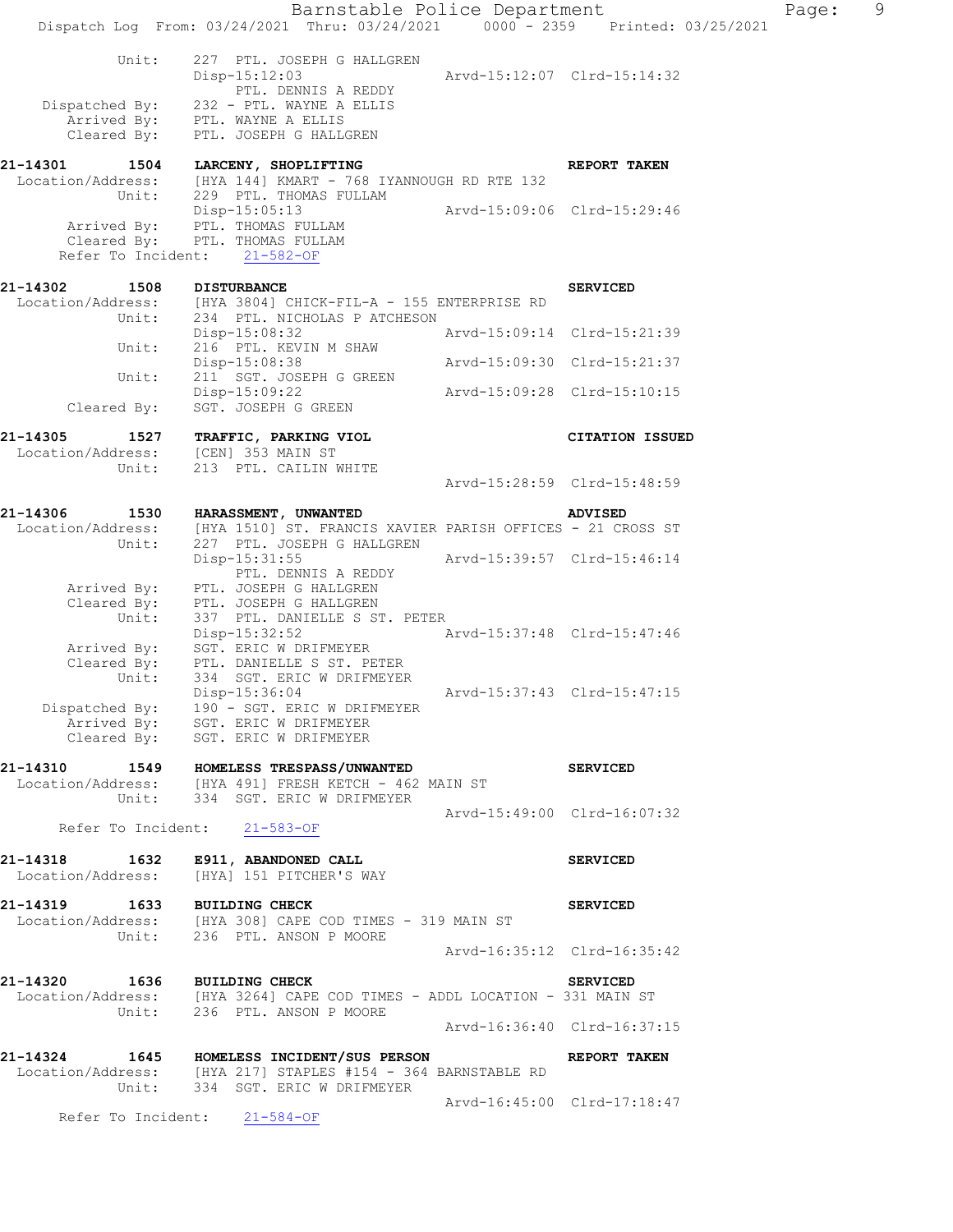|                                              | Dispatch Log From: 03/24/2021 Thru: 03/24/2021 0000 - 2359 Printed: 03/25/2021                                          | Barnstable Police Department |                             | Page: | 9 |
|----------------------------------------------|-------------------------------------------------------------------------------------------------------------------------|------------------------------|-----------------------------|-------|---|
|                                              |                                                                                                                         |                              |                             |       |   |
| Unit:                                        | 227 PTL. JOSEPH G HALLGREN<br>$Disp-15:12:03$<br>PTL. DENNIS A REDDY                                                    |                              | Arvd-15:12:07 Clrd-15:14:32 |       |   |
|                                              | Dispatched By: 232 - PTL. WAYNE A ELLIS                                                                                 |                              |                             |       |   |
| Cleared By:                                  | Arrived By: PTL. WAYNE A ELLIS<br>PTL. JOSEPH G HALLGREN                                                                |                              |                             |       |   |
| 21-14301                                     |                                                                                                                         |                              |                             |       |   |
| 1504                                         | LARCENY, SHOPLIFTING<br>Location/Address: [HYA 144] KMART - 768 IYANNOUGH RD RTE 132                                    |                              | REPORT TAKEN                |       |   |
| Unit:                                        | 229 PTL. THOMAS FULLAM<br>Disp-15:05:13                                                                                 | Arvd-15:09:06 Clrd-15:29:46  |                             |       |   |
|                                              | Arrived By: PTL. THOMAS FULLAM                                                                                          |                              |                             |       |   |
|                                              | Cleared By: PTL. THOMAS FULLAM<br>Refer To Incident: 21-582-OF                                                          |                              |                             |       |   |
|                                              |                                                                                                                         |                              |                             |       |   |
| 21-14302<br>1508                             | <b>DISTURBANCE</b><br>Location/Address: [HYA 3804] CHICK-FIL-A - 155 ENTERPRISE RD                                      |                              | <b>SERVICED</b>             |       |   |
|                                              | Unit: 234 PTL. NICHOLAS P ATCHESON                                                                                      |                              |                             |       |   |
| Unit:                                        | Disp-15:08:32<br>216 PTL. KEVIN M SHAW                                                                                  | Arvd-15:09:14 Clrd-15:21:39  |                             |       |   |
|                                              | Disp-15:08:38                                                                                                           |                              | Arvd-15:09:30 Clrd-15:21:37 |       |   |
| Unit:                                        | 211 SGT. JOSEPH G GREEN<br>Disp-15:09:22                                                                                |                              | Arvd-15:09:28 Clrd-15:10:15 |       |   |
| Cleared By:                                  | SGT. JOSEPH G GREEN                                                                                                     |                              |                             |       |   |
| 21-14305<br>1527                             | TRAFFIC, PARKING VIOL                                                                                                   |                              | <b>CITATION ISSUED</b>      |       |   |
| Location/Address: [CEN] 353 MAIN ST<br>Unit: | 213 PTL. CAILIN WHITE                                                                                                   |                              |                             |       |   |
|                                              |                                                                                                                         |                              | Arvd-15:28:59 Clrd-15:48:59 |       |   |
| 21-14306<br>1530                             | <b>HARASSMENT, UNWANTED</b>                                                                                             |                              | <b>ADVISED</b>              |       |   |
| Location/Address:                            | [HYA 1510] ST. FRANCIS XAVIER PARISH OFFICES - 21 CROSS ST                                                              |                              |                             |       |   |
| Unit:                                        | 227 PTL. JOSEPH G HALLGREN<br>Disp-15:31:55                                                                             |                              | Arvd-15:39:57 Clrd-15:46:14 |       |   |
| Arrived By:                                  | PTL. DENNIS A REDDY<br>PTL. JOSEPH G HALLGREN                                                                           |                              |                             |       |   |
| Cleared By:                                  | PTL. JOSEPH G HALLGREN                                                                                                  |                              |                             |       |   |
| Unit:                                        | 337 PTL. DANIELLE S ST. PETER<br>Disp-15:32:52                                                                          |                              | Arvd-15:37:48 Clrd-15:47:46 |       |   |
| Arrived By:                                  | SGT. ERIC W DRIFMEYER                                                                                                   |                              |                             |       |   |
| Cleared By:<br>Unit:                         | PTL. DANIELLE S ST. PETER<br>334 SGT. ERIC W DRIFMEYER                                                                  |                              |                             |       |   |
|                                              | Disp-15:36:04                                                                                                           |                              |                             |       |   |
|                                              | Dispatched By: 190 - SGT. ERIC W DRIFMEYER<br>Arrived By: SGT. ERIC W DRIFMEYER                                         |                              |                             |       |   |
|                                              | Cleared By: SGT. ERIC W DRIFMEYER                                                                                       |                              |                             |       |   |
|                                              | 21-14310 1549 HOMELESS TRESPASS/UNWANTED                                                                                |                              | <b>SERVICED</b>             |       |   |
|                                              | Location/Address: [HYA 491] FRESH KETCH - 462 MAIN ST<br>Unit: 334 SGT. ERIC W DRIFMEYER                                |                              |                             |       |   |
|                                              | Refer To Incident: 21-583-OF                                                                                            | Arvd-15:49:00 Clrd-16:07:32  |                             |       |   |
|                                              |                                                                                                                         |                              |                             |       |   |
| 21-14318                                     | 1632 E911, ABANDONED CALL<br>Location/Address: [HYA] 151 PITCHER'S WAY                                                  |                              | <b>SERVICED</b>             |       |   |
| 21-14319 1633 BUILDING CHECK                 |                                                                                                                         |                              | <b>SERVICED</b>             |       |   |
|                                              | Location/Address: [HYA 308] CAPE COD TIMES - 319 MAIN ST<br>Unit: 236 PTL. ANSON P MOORE                                |                              |                             |       |   |
|                                              |                                                                                                                         |                              | Arvd-16:35:12 Clrd-16:35:42 |       |   |
|                                              |                                                                                                                         |                              |                             |       |   |
| 21-14320 1636 BUILDING CHECK                 | $Location/Address:$ [HYA 3264] CAPE COD TIMES - ADDL LOCATION - 331 MAIN ST                                             |                              | <b>SERVICED</b>             |       |   |
|                                              | Unit: 236 PTL. ANSON P MOORE                                                                                            |                              | Arvd-16:36:40 Clrd-16:37:15 |       |   |
|                                              |                                                                                                                         |                              |                             |       |   |
|                                              | 21-14324 1645 HOMELESS INCIDENT/SUS PERSON REPORT TAKEN<br>Location/Address: [HYA 217] STAPLES #154 - 364 BARNSTABLE RD |                              |                             |       |   |
|                                              | Unit: 334 SGT. ERIC W DRIFMEYER                                                                                         | Arvd-16:45:00 Clrd-17:18:47  |                             |       |   |
|                                              | Refer To Incident: 21-584-OF                                                                                            |                              |                             |       |   |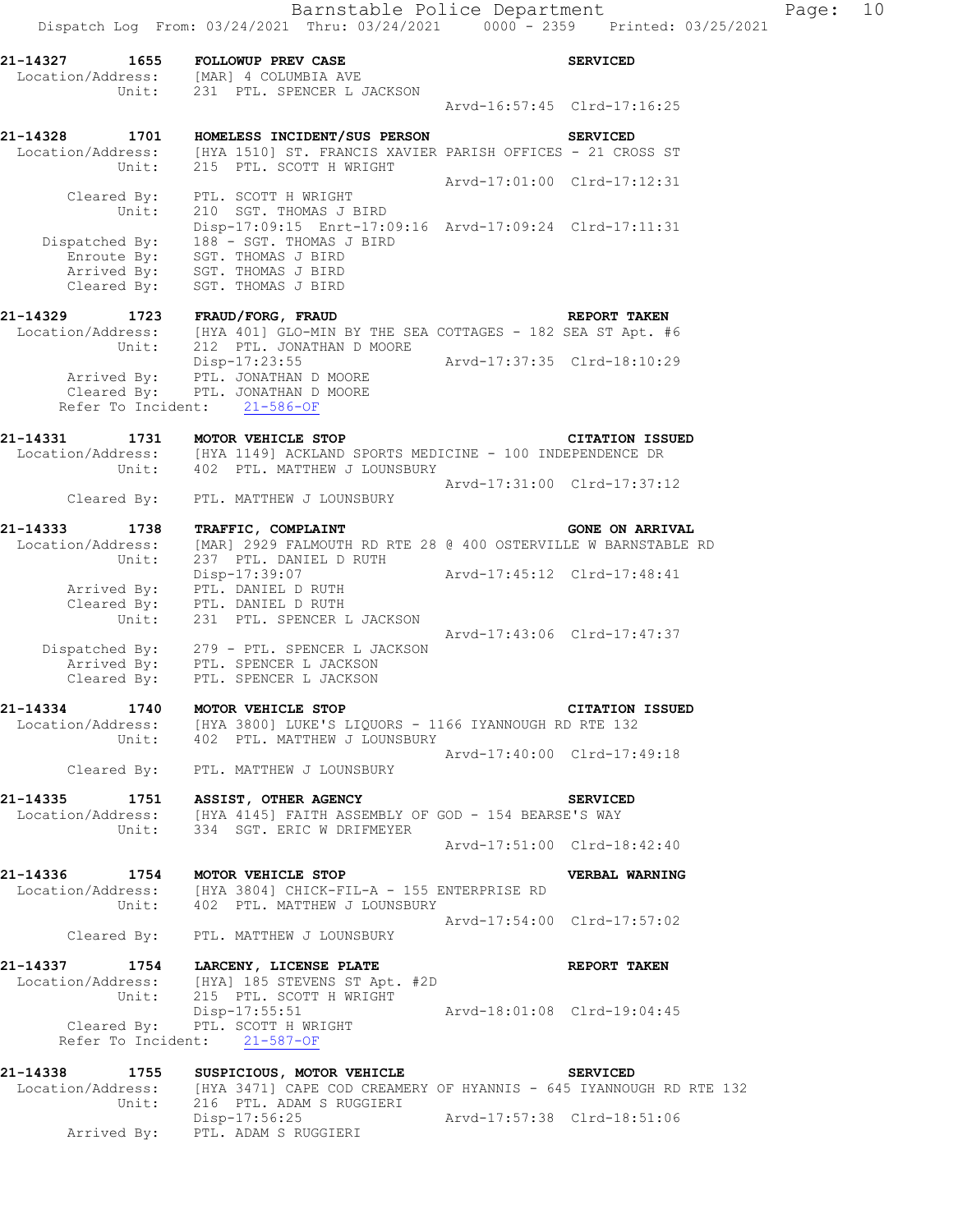Barnstable Police Department Fage: 10 Dispatch Log From: 03/24/2021 Thru: 03/24/2021 0000 - 2359 Printed: 03/25/2021 21-14327 1655 FOLLOWUP PREV CASE **SERVICED**  Location/Address: [MAR] 4 COLUMBIA AVE Unit: 231 PTL. SPENCER L JACKSON Arvd-16:57:45 Clrd-17:16:25 **21-14328 1701 HOMELESS INCIDENT/SUS PERSON SERVICED**  Location/Address: [HYA 1510] ST. FRANCIS XAVIER PARISH OFFICES - 21 CROSS ST Unit: 215 PTL. SCOTT H WRIGHT Arvd-17:01:00 Clrd-17:12:31 Cleared By: PTL. SCOTT H WRIGHT Unit: 210 SGT. THOMAS J BIRD Disp-17:09:15 Enrt-17:09:16 Arvd-17:09:24 Clrd-17:11:31 Dispatched By: 188 - SGT. THOMAS J BIRD .<br>Enroute By: SGT. THOMAS J BIRD Arrived By: SGT. THOMAS J BIRD Cleared  $\overline{\text{{\tt B}}^{\mathsf v}}$ : SGT. THOMAS J BIRD **21-14329 1723 FRAUD/FORG, FRAUD REPORT TAKEN**  Location/Address: [HYA 401] GLO-MIN BY THE SEA COTTAGES - 182 SEA ST Apt. #6 Unit: 212 PTL. JONATHAN D MOORE Disp-17:23:55 Arvd-17:37:35 Clrd-18:10:29 Arrived By: PTL. JONATHAN D MOORE Cleared By: PTL. JONATHAN D MOORE Refer To Incident: 21-586-OF **21-14331 1731 MOTOR VEHICLE STOP CITATION ISSUED**  Location/Address: [HYA 1149] ACKLAND SPORTS MEDICINE - 100 INDEPENDENCE DR Unit: 402 PTL. MATTHEW J LOUNSBURY Arvd-17:31:00 Clrd-17:37:12 Cleared By: PTL. MATTHEW J LOUNSBURY 21-14333 1738 TRAFFIC, COMPLAINT **1999 120 CONE ON ARRIVAL**  Location/Address: [MAR] 2929 FALMOUTH RD RTE 28 @ 400 OSTERVILLE W BARNSTABLE RD Unit: 237 PTL. DANIEL D RUTH Disp-17:39:07 Arvd-17:45:12 Clrd-17:48:41 Arrived By: PTL. DANIEL D RUTH Cleared B $\overline{\text{v}}$ : PTL. DANIEL D RUTH Unit: 231 PTL. SPENCER L JACKSON Arvd-17:43:06 Clrd-17:47:37 Dispatched By: 279 - PTL. SPENCER L JACKSON .<br>Arrived By: PTL. SPENCER L JACKSON Cleared By: PTL. SPENCER L JACKSON **21-14334 1740 MOTOR VEHICLE STOP CITATION ISSUED**  Location/Address: [HYA 3800] LUKE'S LIQUORS - 1166 IYANNOUGH RD RTE 132 Unit: 402 PTL. MATTHEW J LOUNSBURY Arvd-17:40:00 Clrd-17:49:18 Cleared By: PTL. MATTHEW J LOUNSBURY **21-14335 1751 ASSIST, OTHER AGENCY SERVICED**  Location/Address: [HYA 4145] FAITH ASSEMBLY OF GOD - 154 BEARSE'S WAY Unit: 334 SGT. ERIC W DRIFMEYER Arvd-17:51:00 Clrd-18:42:40 **21-14336 1754 MOTOR VEHICLE STOP VERBAL WARNING**  Location/Address: [HYA 3804] CHICK-FIL-A - 155 ENTERPRISE RD Unit: 402 PTL. MATTHEW J LOUNSBURY Arvd-17:54:00 Clrd-17:57:02 Cleared By: PTL. MATTHEW J LOUNSBURY **21-14337 1754 LARCENY, LICENSE PLATE REPORT TAKEN**  Location/Address: [HYA] 185 STEVENS ST Apt. #2D Unit: 215 PTL. SCOTT H WRIGHT Disp-17:55:51 Arvd-18:01:08 Clrd-19:04:45 Cleared By: PTL. SCOTT H WRIGHT Refer To Incident: 21-587-OF 21-14338 1755 SUSPICIOUS, MOTOR VEHICLE **1988 SERVICED**  Location/Address: [HYA 3471] CAPE COD CREAMERY OF HYANNIS - 645 IYANNOUGH RD RTE 132 Unit: 216 PTL. ADAM S RUGGIERI

Disp-17:56:25 Arvd-17:57:38 Clrd-18:51:06

Arrived By: PTL. ADAM S RUGGIERI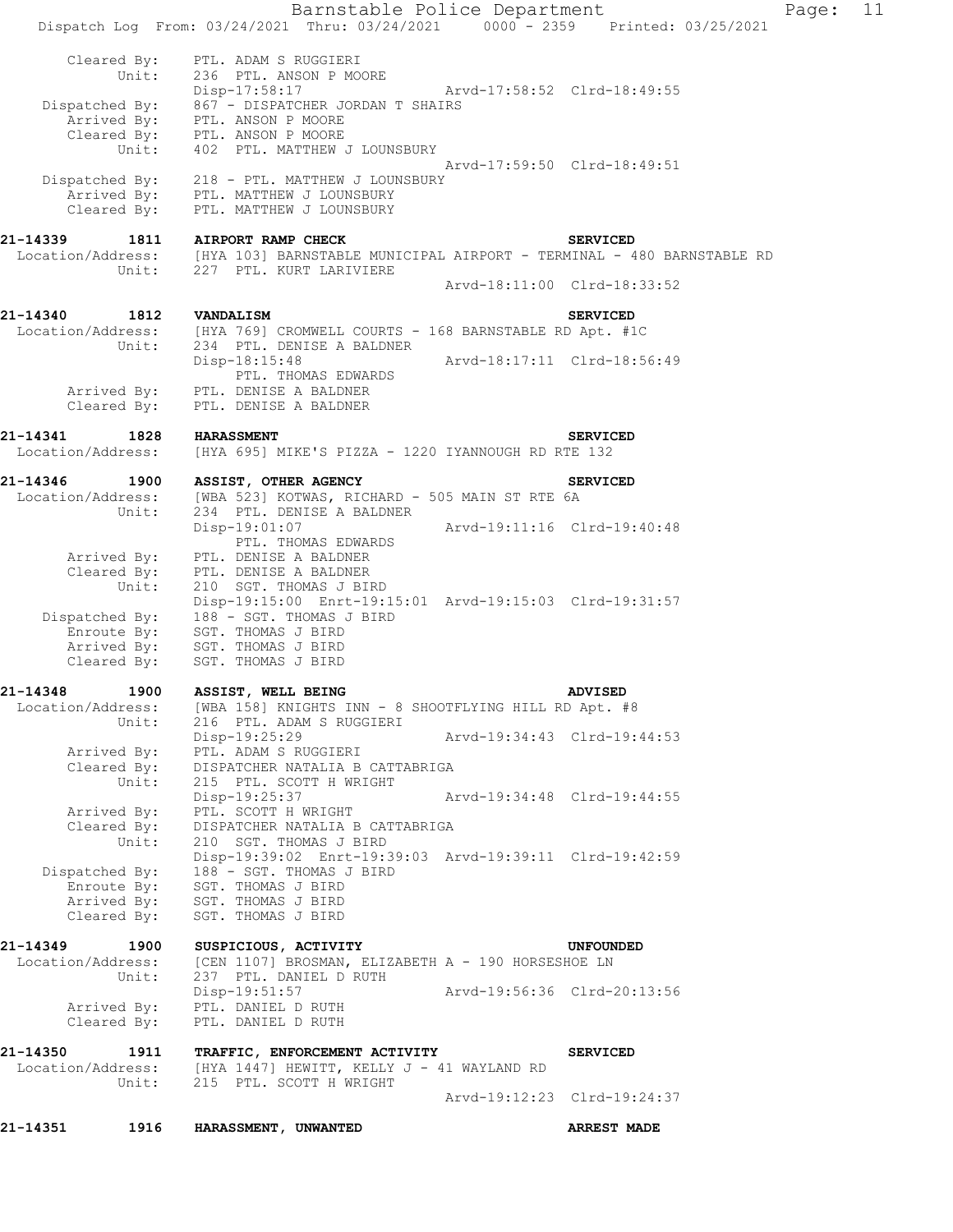|                               |             | Barnstable Police Department                                                                                       |                             |                             | Page: | 11 |
|-------------------------------|-------------|--------------------------------------------------------------------------------------------------------------------|-----------------------------|-----------------------------|-------|----|
|                               |             | Dispatch Log From: 03/24/2021 Thru: 03/24/2021 0000 - 2359 Printed: 03/25/2021                                     |                             |                             |       |    |
| Cleared By:                   | Unit:       | PTL. ADAM S RUGGIERI<br>236 PTL. ANSON P MOORE<br>Disp-17:58:17                                                    | Arvd-17:58:52 Clrd-18:49:55 |                             |       |    |
|                               |             | Dispatched By: 867 - DISPATCHER JORDAN T SHAIRS                                                                    |                             |                             |       |    |
|                               |             | Arrived By: PTL. ANSON P MOORE<br>Cleared By: PTL. ANSON P MOORE                                                   |                             |                             |       |    |
|                               | Unit:       | 402 PTL. MATTHEW J LOUNSBURY                                                                                       |                             |                             |       |    |
| Dispatched By:                |             | 218 - PTL. MATTHEW J LOUNSBURY                                                                                     | Arvd-17:59:50 Clrd-18:49:51 |                             |       |    |
|                               |             | Arrived By: PTL. MATTHEW J LOUNSBURY                                                                               |                             |                             |       |    |
| Cleared By:                   |             | PTL. MATTHEW J LOUNSBURY                                                                                           |                             |                             |       |    |
| 21-14339                      | 1811        | <b>AIRPORT RAMP CHECK</b>                                                                                          |                             | <b>SERVICED</b>             |       |    |
|                               | Unit:       | Location/Address: [HYA 103] BARNSTABLE MUNICIPAL AIRPORT - TERMINAL - 480 BARNSTABLE RD<br>227 PTL. KURT LARIVIERE |                             |                             |       |    |
|                               |             |                                                                                                                    |                             | Arvd-18:11:00 Clrd-18:33:52 |       |    |
| 21-14340                      | 1812        | VANDALISM                                                                                                          |                             | <b>SERVICED</b>             |       |    |
| Location/Address:             |             | [HYA 769] CROMWELL COURTS - 168 BARNSTABLE RD Apt. #1C                                                             |                             |                             |       |    |
|                               | Unit:       | 234 PTL. DENISE A BALDNER<br>Disp-18:15:48                                                                         | Arvd-18:17:11 Clrd-18:56:49 |                             |       |    |
|                               |             | PTL. THOMAS EDWARDS                                                                                                |                             |                             |       |    |
| Arrived By:                   |             | PTL. DENISE A BALDNER                                                                                              |                             |                             |       |    |
| Cleared By:                   |             | PTL. DENISE A BALDNER                                                                                              |                             |                             |       |    |
| 21-14341                      | 1828        | <b>HARASSMENT</b>                                                                                                  |                             | <b>SERVICED</b>             |       |    |
| Location/Address:             |             | [HYA 695] MIKE'S PIZZA - 1220 IYANNOUGH RD RTE 132                                                                 |                             |                             |       |    |
| 21-14346                      | 1900        | ASSIST, OTHER AGENCY                                                                                               |                             | <b>SERVICED</b>             |       |    |
| Location/Address:             | Unit:       | [WBA 523] KOTWAS, RICHARD - 505 MAIN ST RTE 6A<br>234 PTL. DENISE A BALDNER                                        |                             |                             |       |    |
|                               |             | Disp-19:01:07                                                                                                      | Arvd-19:11:16 Clrd-19:40:48 |                             |       |    |
| Arrived By:                   |             | PTL. THOMAS EDWARDS<br>PTL. DENISE A BALDNER                                                                       |                             |                             |       |    |
| Cleared By:                   |             | PTL. DENISE A BALDNER                                                                                              |                             |                             |       |    |
|                               | Unit:       | 210 SGT. THOMAS J BIRD<br>Disp-19:15:00 Enrt-19:15:01 Arvd-19:15:03 Clrd-19:31:57                                  |                             |                             |       |    |
| Dispatched By:                |             | 188 - SGT. THOMAS J BIRD                                                                                           |                             |                             |       |    |
| Enroute By:                   | Arrived By: | SGT. THOMAS J BIRD<br>SGT. THOMAS J BIRD                                                                           |                             |                             |       |    |
| Cleared By:                   |             | SGT. THOMAS J BIRD                                                                                                 |                             |                             |       |    |
| 21-14348                      | 1900        | ASSIST, WELL BEING                                                                                                 |                             | <b>ADVISED</b>              |       |    |
| Location/Address:             |             | [WBA 158] KNIGHTS INN - 8 SHOOTFLYING HILL RD Apt. #8                                                              |                             |                             |       |    |
|                               | Unit:       | 216 PTL. ADAM S RUGGIERI<br>Disp-19:25:29                                                                          | Arvd-19:34:43 Clrd-19:44:53 |                             |       |    |
| Arrived By:                   |             | PTL. ADAM S RUGGIERI                                                                                               |                             |                             |       |    |
| Cleared By:                   | Unit:       | DISPATCHER NATALIA B CATTABRIGA<br>215 PTL. SCOTT H WRIGHT                                                         |                             |                             |       |    |
|                               |             | Disp-19:25:37                                                                                                      |                             | Arvd-19:34:48 Clrd-19:44:55 |       |    |
| Arrived By:<br>Cleared By:    |             | PTL. SCOTT H WRIGHT<br>DISPATCHER NATALIA B CATTABRIGA                                                             |                             |                             |       |    |
|                               | Unit:       | 210 SGT. THOMAS J BIRD                                                                                             |                             |                             |       |    |
| Dispatched By:                |             | Disp-19:39:02 Enrt-19:39:03 Arvd-19:39:11 Clrd-19:42:59<br>188 - SGT. THOMAS J BIRD                                |                             |                             |       |    |
| Enroute By:                   |             | SGT. THOMAS J BIRD                                                                                                 |                             |                             |       |    |
| Arrived By:<br>Cleared By:    |             | SGT. THOMAS J BIRD<br>SGT. THOMAS J BIRD                                                                           |                             |                             |       |    |
|                               |             |                                                                                                                    |                             |                             |       |    |
| 21-14349<br>Location/Address: | 1900        | SUSPICIOUS, ACTIVITY<br>[CEN 1107] BROSMAN, ELIZABETH A - 190 HORSESHOE LN                                         |                             | UNFOUNDED                   |       |    |
|                               | Unit:       | 237 PTL. DANIEL D RUTH                                                                                             |                             |                             |       |    |
| Arrived By:                   |             | Disp-19:51:57<br>PTL. DANIEL D RUTH                                                                                |                             | Arvd-19:56:36 Clrd-20:13:56 |       |    |
| Cleared By:                   |             | PTL. DANIEL D RUTH                                                                                                 |                             |                             |       |    |
| 21-14350                      | 1911        | TRAFFIC, ENFORCEMENT ACTIVITY                                                                                      |                             | <b>SERVICED</b>             |       |    |
| Location/Address:             |             | [HYA 1447] HEWITT, KELLY J - 41 WAYLAND RD                                                                         |                             |                             |       |    |
|                               | Unit:       | 215 PTL. SCOTT H WRIGHT                                                                                            | Arvd-19:12:23 Clrd-19:24:37 |                             |       |    |
|                               |             |                                                                                                                    |                             |                             |       |    |
| 21-14351                      | 1916        | HARASSMENT, UNWANTED                                                                                               |                             | <b>ARREST MADE</b>          |       |    |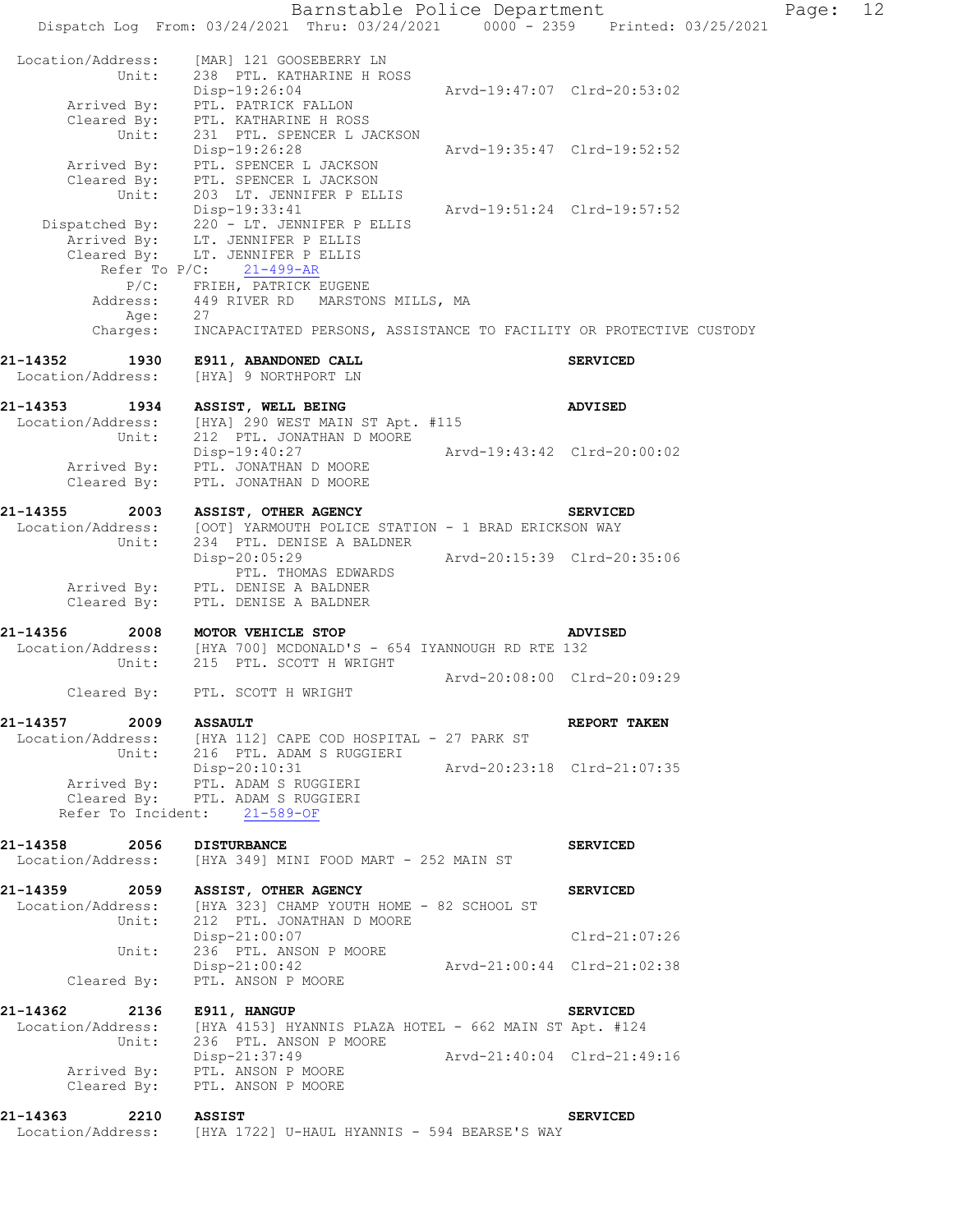Barnstable Police Department Fage: 12 Dispatch Log From: 03/24/2021 Thru: 03/24/2021 0000 - 2359 Printed: 03/25/2021 Location/Address: [MAR] 121 GOOSEBERRY LN Unit: 238 PTL. KATHARINE H ROSS Disp-19:26:04 Arvd-19:47:07 Clrd-20:53:02 Arrived By: PTL. PATRICK FALLON Cleared By: PTL. KATHARINE H ROSS Unit: 231 PTL. SPENCER L JACKSON Disp-19:26:28 Arvd-19:35:47 Clrd-19:52:52 Arrived By: PTL. SPENCER L JACKSON Cleared By: PTL. SPENCER L JACKSON Unit: 203 LT. JENNIFER P ELLIS Disp-19:33:41 Arvd-19:51:24 Clrd-19:57:52 Dispatched By: 220 - LT. JENNIFER P ELLIS .<br>Arrived By: LT. JENNIFER P ELLIS Cleared By: LT. JENNIFER P ELLIS Refer<sup>T</sup>o P/C: 21-499-AR P/C: FRIEH, PATRICK EUGENE Address: 449 RIVER RD MARSTONS MILLS, MA Age: 27 Charges: INCAPACITATED PERSONS, ASSISTANCE TO FACILITY OR PROTECTIVE CUSTODY **21-14352 1930 E911, ABANDONED CALL SERVICED**  Location/Address: [HYA] 9 NORTHPORT LN **21-14353 1934 ASSIST, WELL BEING ADVISED**  Location/Address: [HYA] 290 WEST MAIN ST Apt. #115 Unit: 212 PTL. JONATHAN D MOORE Disp-19:40:27 Arvd-19:43:42 Clrd-20:00:02 Arrived By: PTL. JONATHAN D MOORE Cleared By: PTL. JONATHAN D MOORE **21-14355 2003 ASSIST, OTHER AGENCY SERVICED**  Location/Address: [OOT] YARMOUTH POLICE STATION - 1 BRAD ERICKSON WAY Unit: 234 PTL. DENISE A BALDNER Disp-20:05:29 Arvd-20:15:39 Clrd-20:35:06 Disp-20:05:29<br>PTL. THOMAS EDWARDS Arrived By: PTL. DENISE A BALDNER Cleared By: PTL. DENISE A BALDNER **21-14356 2008 MOTOR VEHICLE STOP ADVISED**  Location/Address: [HYA 700] MCDONALD'S - 654 IYANNOUGH RD RTE 132 Unit: 215 PTL. SCOTT H WRIGHT Arvd-20:08:00 Clrd-20:09:29 Cleared By: PTL. SCOTT H WRIGHT **21-14357 2009 ASSAULT REPORT TAKEN**  Location/Address: [HYA 112] CAPE COD HOSPITAL - 27 PARK ST Unit: 216 PTL. ADAM S RUGGIERI Disp-20:10:31 Arvd-20:23:18 Clrd-21:07:35 Arrived By: PTL. ADAM S RUGGIERI Arrived By: PTL. ADAM S RUGGIERI<br>Cleared By: PTL. ADAM S RUGGIERI Refer To Incident: 21-589-OF **21-14358 2056 DISTURBANCE SERVICED**  Location/Address: [HYA 349] MINI FOOD MART - 252 MAIN ST **21-14359 2059 ASSIST, OTHER AGENCY SERVICED**  Location/Address: [HYA 323] CHAMP YOUTH HOME - 82 SCHOOL ST Unit: 212 PTL. JONATHAN D MOORE Disp-21:00:07 Clrd-21:07:26 Unit: 236 PTL. ANSON P MOORE Disp-21:00:42 Arvd-21:00:44 Clrd-21:02:38 Cleared By: PTL. ANSON P MOORE **21-14362 2136 E911, HANGUP SERVICED**  Location/Address: [HYA 4153] HYANNIS PLAZA HOTEL - 662 MAIN ST Apt. #124 Unit: 236 PTL. ANSON P MOORE Disp-21:37:49 Arvd-21:40:04 Clrd-21:49:16 Arrived By: PTL. ANSON P MOORE Cleared By: PTL. ANSON P MOORE **21-14363 2210 ASSIST SERVICED**<br>Location/Address: [HYA 1722] U-HAUL HYANNIS - 594 BEARSE'S WAY [HYA 1722] U-HAUL HYANNIS - 594 BEARSE'S WAY